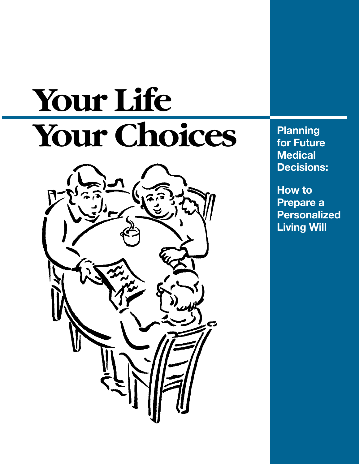# **Your Life** Your Choices **Planning** for Future



**for Future Medical Decisions:**

**How to Prepare a Personalized Living Will**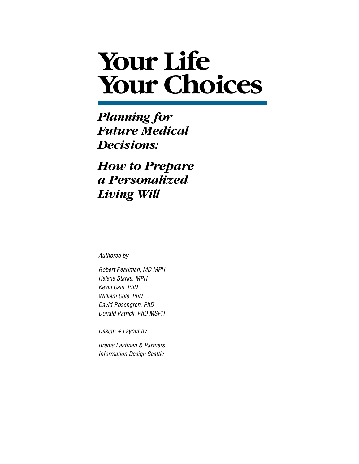## **Your Life Your Choices**

### *Planning for Future Medical Decisions:*

*How to Prepare a Personalized Living Will*

Authored by

Robert Pearlman, MD MPH Helene Starks, MPH Kevin Cain, PhD William Cole, PhD David Rosengren, PhD Donald Patrick, PhD MSPH

Design & Layout by

Brems Eastman & Partners Information Design Seattle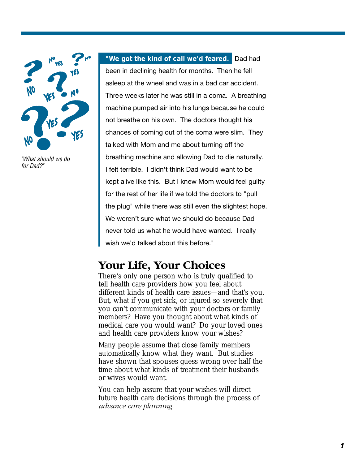

"What should we do for Dad?"

**"We got the kind of call we'd feared.** Dad had been in declining health for months. Then he fell asleep at the wheel and was in a bad car accident. Three weeks later he was still in a coma. A breathing machine pumped air into his lungs because he could not breathe on his own. The doctors thought his chances of coming out of the coma were slim. They talked with Mom and me about turning off the breathing machine and allowing Dad to die naturally. I felt terrible. I didn't think Dad would want to be kept alive like this. But I knew Mom would feel guilty for the rest of her life if we told the doctors to "pull the plug" while there was still even the slightest hope. We weren't sure what we should do because Dad never told us what he would have wanted. I really wish we'd talked about this before."

### **Your Life, Your Choices**

There's only one person who is truly qualified to tell health care providers how you feel about different kinds of health care issues—and that's you. But, what if you get sick, or injured so severely that you can't communicate with your doctors or family members? Have you thought about what kinds of medical care you would want? Do your loved ones and health care providers know your wishes?

Many people assume that close family members automatically know what they want. But studies have shown that spouses guess wrong over half the time about what kinds of treatment their husbands or wives would want.

You can help assure that your wishes will direct future health care decisions through the process of *advance care planning*.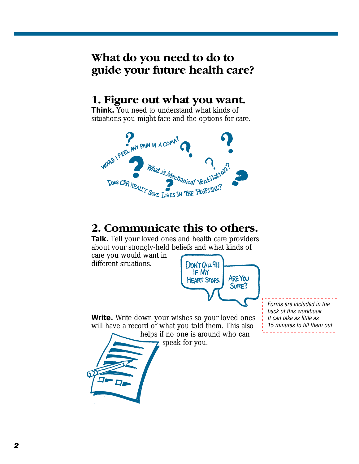### **What do you need to do to guide your future health care?**

### **1. Figure out what you want.**

**Think.** You need to understand what kinds of situations you might face and the options for care.



### **2. Communicate this to others.**

**Talk.** Tell your loved ones and health care providers about your strongly-held beliefs and what kinds of

care you would want in different situations.



**Write.** Write down your wishes so your loved ones will have a record of what you told them. This also helps if no one is around who can

speak for you.

Forms are included in the back of this workbook. It can take as little as 15 minutes to fill them out.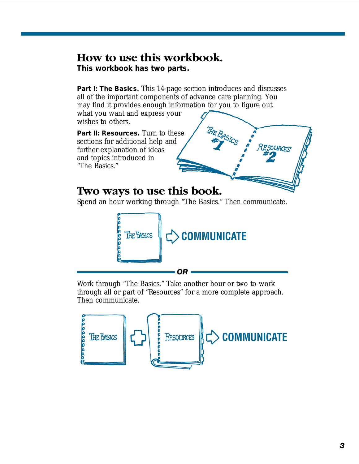### **How to use this workbook.**

**This workbook has two parts.**

Part I: The Basics. This 14-page section introduces and discusses all of the important components of advance care planning. You may find it provides enough information for you to figure out what you want and express your

wishes to others.

Part II: Resources. Turn to these sections for additional help and further explanation of ideas and topics introduced in "The Basics."

### **Two ways to use this book.**

Spend an hour working through "The Basics." Then communicate.



Work through "The Basics." Take another hour or two to work through all or part of "Resources" for a more complete approach. Then communicate.

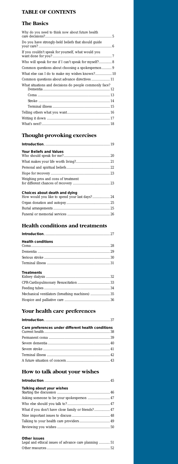### **TABLE OF CONTENTS**

### **The Basics**

| Why do you need to think now about future health       |
|--------------------------------------------------------|
| Do you have strongly-held beliefs that should guide    |
| If you couldn't speak for yourself, what would you     |
| Who will speak for me if I can't speak for myself? 8   |
|                                                        |
| What else can I do to make my wishes known? 10         |
| Common questions about advance directives  11          |
| What situations and decisions do people commonly face? |
|                                                        |
|                                                        |
|                                                        |
|                                                        |
|                                                        |
|                                                        |

### **Thought-provoking exercises**

| <b>Your Beliefs and Values</b>                                                  |  |
|---------------------------------------------------------------------------------|--|
|                                                                                 |  |
|                                                                                 |  |
|                                                                                 |  |
| Weighing pros and cons of treatment                                             |  |
| Choices about death and dying<br>How would you like to spend your last days? 24 |  |
|                                                                                 |  |
|                                                                                 |  |
|                                                                                 |  |

### **Your health care preferences**

| Care preferences under different health conditions |  |
|----------------------------------------------------|--|
|                                                    |  |
|                                                    |  |
|                                                    |  |
|                                                    |  |
|                                                    |  |

### **How to talk about your wishes**

| Talking about your wishes                          |  |
|----------------------------------------------------|--|
|                                                    |  |
|                                                    |  |
| What if you don't have close family or friends? 47 |  |
|                                                    |  |
|                                                    |  |
|                                                    |  |

#### **Other issues**

| Legal and ethical issues of advance care planning  51 |  |
|-------------------------------------------------------|--|
|                                                       |  |

### **Health conditions and treatments**

| <b>Health conditions</b> |  |
|--------------------------|--|
|                          |  |

#### **Treatments**

| Mechanical ventilators (breathing machines)  35 |  |
|-------------------------------------------------|--|
|                                                 |  |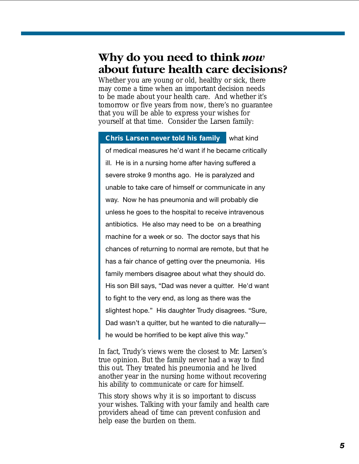### <span id="page-6-0"></span>**Why do you need to think** *now* **about future health care decisions?**

Whether you are young or old, healthy or sick, there may come a time when an important decision needs to be made about your health care. And whether it's tomorrow or five years from now, there's no guarantee that you will be able to express your wishes for yourself at that time. Consider the Larsen family:

#### **Chris Larsen never told his family** what kind

of medical measures he'd want if he became critically ill. He is in a nursing home after having suffered a severe stroke 9 months ago. He is paralyzed and unable to take care of himself or communicate in any way. Now he has pneumonia and will probably die unless he goes to the hospital to receive intravenous antibiotics. He also may need to be on a breathing machine for a week or so. The doctor says that his chances of returning to normal are remote, but that he has a fair chance of getting over the pneumonia. His family members disagree about what they should do. His son Bill says, "Dad was never a quitter. He'd want to fight to the very end, as long as there was the slightest hope." His daughter Trudy disagrees. "Sure, Dad wasn't a quitter, but he wanted to die naturally he would be horrified to be kept alive this way."

In fact, Trudy's views were the closest to Mr. Larsen's true opinion. But the family never had a way to find this out. They treated his pneumonia and he lived another year in the nursing home without recovering his ability to communicate or care for himself.

This story shows why it is so important to discuss your wishes. Talking with your family and health care providers ahead of time can prevent confusion and help ease the burden on them.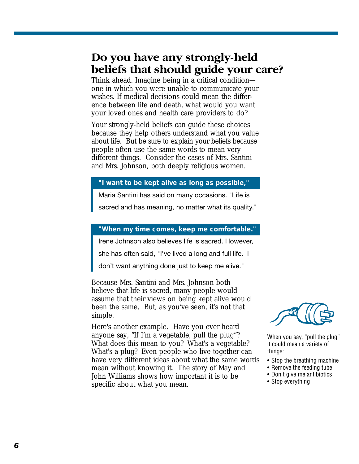### <span id="page-7-0"></span>**Do you have any strongly-held beliefs that should guide your care?**

Think ahead. Imagine being in a critical condition one in which you were unable to communicate your wishes. If medical decisions could mean the difference between life and death, what would you want your loved ones and health care providers to do?

Your strongly-held beliefs can guide these choices because they help others understand what you value about life. But be sure to explain your beliefs because people often use the same words to mean very different things. Consider the cases of Mrs. Santini and Mrs. Johnson, both deeply religious women.

#### **"I want to be kept alive as long as possible,"**

Maria Santini has said on many occasions. "Life is

sacred and has meaning, no matter what its quality."

#### **"When my time comes, keep me comfortable."**

Irene Johnson also believes life is sacred. However,

she has often said, "I've lived a long and full life. I

don't want anything done just to keep me alive."

Because Mrs. Santini and Mrs. Johnson both believe that life is sacred, many people would assume that their views on being kept alive would been the same. But, as you've seen, it's not that simple.

Here's another example. Have you ever heard anyone say, "If I'm a vegetable, pull the plug"? What does this mean to you? What's a vegetable? What's a plug? Even people who live together can have very different ideas about what the same words mean without knowing it. The story of May and John Williams shows how important it is to be specific about what you mean.



When you say, "pull the plug" it could mean a variety of things:

- Stop the breathing machine
- Remove the feeding tube
- Don't give me antibiotics
- Stop everything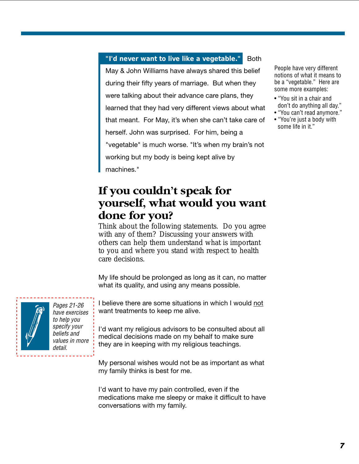#### <span id="page-8-0"></span>"I'd never want to live like a vegetable." Both

May & John Williams have always shared this belief during their fifty years of marriage. But when they were talking about their advance care plans, they learned that they had very different views about what that meant. For May, it's when she can't take care of herself. John was surprised. For him, being a "vegetable" is much worse. "It's when my brain's not working but my body is being kept alive by machines."

### **If you couldn't speak for yourself, what would you want done for you?**

Think about the following statements. Do you agree with any of them? Discussing your answers with others can help them understand what is important to you and where you stand with respect to health care decisions.

My life should be prolonged as long as it can, no matter what its quality, and using any means possible.

I believe there are some situations in which I would not want treatments to keep me alive.

I'd want my religious advisors to be consulted about all medical decisions made on my behalf to make sure they are in keeping with my religious teachings.

My personal wishes would not be as important as what my family thinks is best for me.

I'd want to have my pain controlled, even if the medications make me sleepy or make it difficult to have conversations with my family.

[Pages 21-26](#page-22-0) have exercises to help you specify your beliefs and values in more detail.

People have very different notions of what it means to be a "vegetable." Here are some more examples:

- "You sit in a chair and don't do anything all day."
- "You can't read anymore." • "You're just a body with some life in it."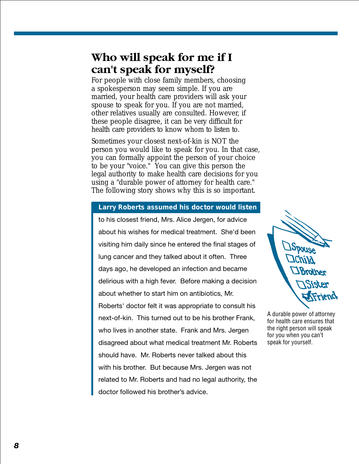### <span id="page-9-0"></span>**Who will speak for me if I can't speak for myself?**

For people with close family members, choosing a spokesperson may seem simple. If you are married, your health care providers will ask your spouse to speak for you. If you are not married, other relatives usually are consulted. However, if these people disagree, it can be very difficult for health care providers to know whom to listen to.

Sometimes your closest next-of-kin is NOT the person you would like to speak for you. In that case, you can formally appoint the person of your choice to be your "voice." You can give this person the legal authority to make health care decisions for you using a "durable power of attorney for health care." The following story shows why this is so important.

#### **Larry Roberts assumed his doctor would listen**

to his closest friend, Mrs. Alice Jergen, for advice about his wishes for medical treatment. She'd been visiting him daily since he entered the final stages of lung cancer and they talked about it often. Three days ago, he developed an infection and became delirious with a high fever. Before making a decision about whether to start him on antibiotics, Mr. Roberts' doctor felt it was appropriate to consult his next-of-kin. This turned out to be his brother Frank, who lives in another state. Frank and Mrs. Jergen disagreed about what medical treatment Mr. Roberts should have. Mr. Roberts never talked about this with his brother. But because Mrs. Jergen was not related to Mr. Roberts and had no legal authority, the doctor followed his brother's advice.



A durable power of attorney for health care ensures that the right person will speak for you when you can't speak for yourself.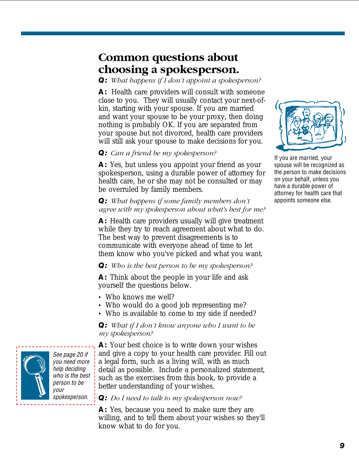### <span id="page-10-0"></span>**Common questions about choosing a spokesperson.**

*Q: What happens if I don't appoint a spokesperson?*

**A:** Health care providers will consult with someone close to you. They will usually contact your next-ofkin, starting with your spouse. If you are married and want your spouse to be your proxy, then doing nothing is probably OK. If you are separated from your spouse but not divorced, health care providers will still ask your spouse to make decisions for you.

#### *Q: Can a friend be my spokesperson?*

**A:** Yes, but unless you appoint your friend as your spokesperson, using a durable power of attorney for health care, he or she may not be consulted or may be overruled by family members.

#### *Q: What happens if some family members don't agree with my spokesperson about what's best for me?*

**A:** Health care providers usually will give treatment while they try to reach agreement about what to do. The best way to prevent disagreements is to communicate with everyone ahead of time to let them know who you've picked and what you want.

#### *Q: Who is the best person to be my spokesperson?*

**A:** Think about the people in your life and ask yourself the questions below.

- Who knows me well?
- Who would do a good job representing me?
- Who is available to come to my side if needed?

*Q: What if I don't know anyone who I want to be my spokesperson?*

**A:** Your best choice is to write down your wishes and give a copy to your health care provider. Fill out a legal form, such as a living will, with as much detail as possible. Include a personalized statement, such as the exercises from this book, to provide a better understanding of your wishes.

#### *Q: Do I need to talk to my spokesperson now?*

**A:** Yes, because you need to make sure they are willing, and to tell them about your wishes so they'll know what to do for you.



If you are married, your spouse will be recognized as the person to make decisions on your behalf, unless you have a durable power of attorney for health care that appoints someone else.



See page 20 if [you need more](#page-21-0) help deciding who is the best person to be your spokesperson.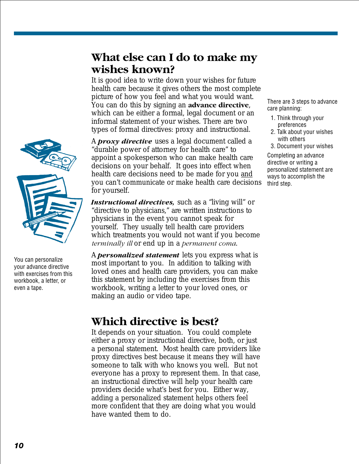### <span id="page-11-0"></span>**What else can I do to make my wishes known?**

It is good idea to write down your wishes for future health care because it gives others the most complete picture of how you feel and what you would want. You can do this by signing an **advance directive**, which can be either a formal, legal document or an informal statement of your wishes. There are two types of formal directives: proxy and instructional.

A *proxy directive* uses a legal document called a "durable power of attorney for health care" to appoint a spokesperson who can make health care decisions on your behalf. It goes into effect when health care decisions need to be made for you and you can't communicate or make health care decisions for yourself.

*Instructional directives,* such as a "living will" or "directive to physicians," are written instructions to physicians in the event you cannot speak for yourself. They usually tell health care providers which treatments you would not want if you become *terminally ill* or end up in a *permanent coma*.

A *personalized statement* lets you express what is most important to you. In addition to talking with loved ones and health care providers, you can make this statement by including the exercises from this workbook, writing a letter to your loved ones, or making an audio or video tape.

### **Which directive is best?**

It depends on your situation. You could complete either a proxy or instructional directive, both, or just a personal statement. Most health care providers like proxy directives best because it means they will have someone to talk with who knows you well. But not everyone has a proxy to represent them. In that case, an instructional directive will help your health care providers decide what's best for you. Either way, adding a personalized statement helps others feel more confident that they are doing what you would have wanted them to do.



You can personalize your advance directive with exercises from this workbook, a letter, or even a tape.

There are 3 steps to advance care planning:

- 1. Think through your preferences
- 2. Talk about your wishes with others
- 3. Document your wishes

Completing an advance directive or writing a personalized statement are ways to accomplish the third step.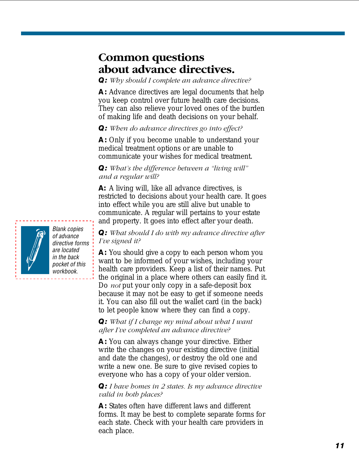### <span id="page-12-0"></span>**Common questions about advance directives.**

*Q: Why should I complete an advance directive?*

**A:** Advance directives are legal documents that help you keep control over future health care decisions. They can also relieve your loved ones of the burden of making life and death decisions on your behalf.

#### *Q: When do advance directives go into effect?*

**A:** Only if you become unable to understand your medical treatment options or are unable to communicate your wishes for medical treatment.

#### *Q: What's the difference between a "living will" and a regular will?*

**A:** A living will, like all advance directives, is restricted to decisions about your health care. It goes into effect while you are still alive but unable to communicate. A regular will pertains to your estate and property. It goes into effect after your death.

#### *Q: What should I do with my advance directive after I've signed it?*

**A:** You should give a copy to each person whom you want to be informed of your wishes, including your health care providers. Keep a list of their names. Put the original in a place where others can easily find it. Do *not* put your only copy in a safe-deposit box because it may not be easy to get if someone needs it. You can also fill out the wallet card (in the back) to let people know where they can find a copy.

#### *Q: What if I change my mind about what I want after I've completed an advance directive?*

**A:** You can always change your directive. Either write the changes on your existing directive (initial and date the changes), or destroy the old one and write a new one. Be sure to give revised copies to everyone who has a copy of your older version.

#### *Q: I have homes in 2 states. Is my advance directive valid in both places?*

**A:** States often have different laws and different forms. It may be best to complete separate forms for each state. Check with your health care providers in each place.



Blank copies of advance directive forms are located in the back pocket of this workbook.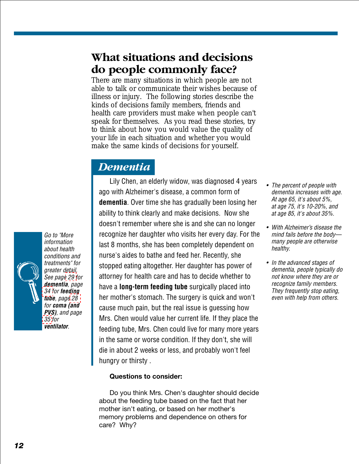### <span id="page-13-0"></span>**What situations and decisions do people commonly face?**

There are many situations in which people are not able to talk or communicate their wishes because of illness or injury. The following stories describe the kinds of decisions family members, friends and health care providers must make when people can't speak for themselves. As you read these stories, try to think about how you would value the quality of your life in each situation and whether you would make the same kinds of decisions for yourself.

### *Dementia*

Lily Chen, an elderly widow, was diagnosed 4 years ago with Alzheimer's disease, a common form of **dementia**. Over time she has gradually been losing her ability to think clearly and make decisions. Now she doesn't remember where she is and she can no longer recognize her daughter who visits her every day. For the last 8 months, she has been completely dependent on nurse's aides to bathe and feed her. Recently, she stopped eating altogether. Her daughter has power of attorney for health care and has to decide whether to have a **long-term feeding tube** surgically placed into her mother's stomach. The surgery is quick and won't cause much pain, but the real issue is guessing how Mrs. Chen would value her current life. If they place the feeding tube, Mrs. Chen could live for many more years in the same or worse condition. If they don't, she will die in about 2 weeks or less, and probably won't feel hungry or thirsty .

#### **Questions to consider:**

Do you think Mrs. Chen's daughter should decide about the feeding tube based on the fact that her mother isn't eating, or based on her mother's memory problems and dependence on others for care? Why?

- The percent of people with dementia increases with age. At age 65, it's about 5%, at age 75, it's 10-20%, and at age 85, it's about 35%.
- With Alzheimer's disease the mind fails before the body many people are otherwise healthy.
- In the advanced stages of dementia, people typically do not know where they are or recognize family members. They frequently stop eating, even with help from others.

Go to "More information about health conditions and treatments" for greater detail. See pag[e 29 f](#page-30-0)or **dementia**, page [34 f](#page-35-0)or **feeding tube**, pag[e 28](#page-29-0) for **coma (and PVS)**, and page [35](#page-36-0) for **ventilator**.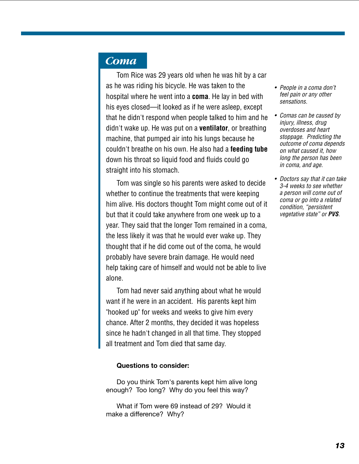### <span id="page-14-0"></span>*Coma*

Tom Rice was 29 years old when he was hit by a car as he was riding his bicycle. He was taken to the hospital where he went into a **coma**. He lay in bed with his eyes closed—it looked as if he were asleep, except that he didn't respond when people talked to him and he didn't wake up. He was put on a **ventilator**, or breathing machine, that pumped air into his lungs because he couldn't breathe on his own. He also had a **feeding tube** down his throat so liquid food and fluids could go straight into his stomach.

Tom was single so his parents were asked to decide whether to continue the treatments that were keeping him alive. His doctors thought Tom might come out of it but that it could take anywhere from one week up to a year. They said that the longer Tom remained in a coma, the less likely it was that he would ever wake up. They thought that if he did come out of the coma, he would probably have severe brain damage. He would need help taking care of himself and would not be able to live alone.

Tom had never said anything about what he would want if he were in an accident. His parents kept him "hooked up" for weeks and weeks to give him every chance. After 2 months, they decided it was hopeless since he hadn't changed in all that time. They stopped all treatment and Tom died that same day.

#### **Questions to consider:**

Do you think Tom's parents kept him alive long enough? Too long? Why do you feel this way?

What if Tom were 69 instead of 29? Would it make a difference? Why?

- People in a coma don't feel pain or any other sensations.
- Comas can be caused by injury, illness, drug overdoses and heart stoppage. Predicting the outcome of coma depends on what caused it, how long the person has been in coma, and age.
- Doctors say that it can take 3-4 weeks to see whether a person will come out of coma or go into a related condition, "persistent vegetative state" or **PVS**.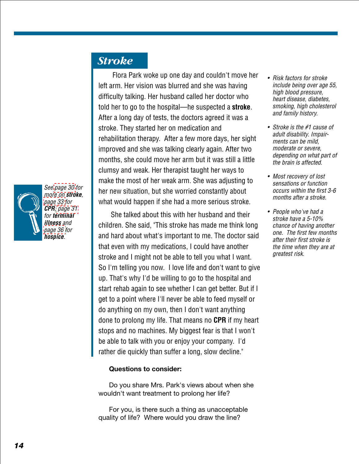

See [page 30](#page-31-0) for more on **stroke**, [page 33](#page-34-0) for **CPR**, [page 31](#page-32-0) for **terminal illness** and [page 36 f](#page-37-0)or **hospice**.

### <span id="page-15-0"></span>*Stroke*

Flora Park woke up one day and couldn't move her left arm. Her vision was blurred and she was having difficulty talking. Her husband called her doctor who told her to go to the hospital—he suspected a **stroke**. After a long day of tests, the doctors agreed it was a stroke. They started her on medication and rehabilitation therapy. After a few more days, her sight improved and she was talking clearly again. After two months, she could move her arm but it was still a little clumsy and weak. Her therapist taught her ways to make the most of her weak arm. She was adjusting to her new situation, but she worried constantly about what would happen if she had a more serious stroke.

 She talked about this with her husband and their children. She said, "This stroke has made me think long and hard about what's important to me. The doctor said that even with my medications, I could have another stroke and I might not be able to tell you what I want. So I'm telling you now. I love life and don't want to give up. That's why I'd be willing to go to the hospital and start rehab again to see whether I can get better. But if I get to a point where I'll never be able to feed myself or do anything on my own, then I don't want anything done to prolong my life. That means no **CPR** if my heart stops and no machines. My biggest fear is that I won't be able to talk with you or enjoy your company. I'd rather die quickly than suffer a long, slow decline."

#### **Questions to consider:**

Do you share Mrs. Park's views about when she wouldn't want treatment to prolong her life?

For you, is there such a thing as unacceptable quality of life? Where would you draw the line?

- Risk factors for stroke include being over age 55, high blood pressure, heart disease, diabetes, smoking, high cholesterol and family history.
- Stroke is the #1 cause of adult disability. Impairments can be mild, moderate or severe, depending on what part of the brain is affected.
- Most recovery of lost sensations or function occurs within the first 3-6 months after a stroke.
- • People who've had a stroke have a 5-10% chance of having another one. The first few months after their first stroke is the time when they are at greatest risk.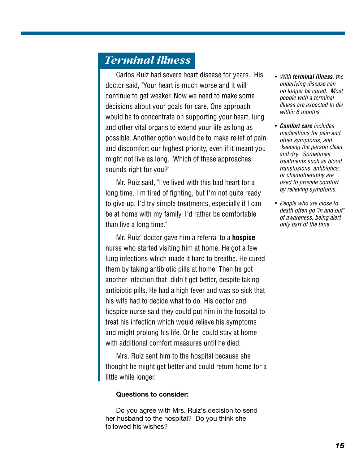### <span id="page-16-0"></span>*Terminal illness*

Carlos Ruiz had severe heart disease for years. His doctor said, "Your heart is much worse and it will continue to get weaker. Now we need to make some decisions about your goals for care. One approach would be to concentrate on supporting your heart, lung and other vital organs to extend your life as long as possible. Another option would be to make relief of pain and discomfort our highest priority, even if it meant you might not live as long. Which of these approaches sounds right for you?"

Mr. Ruiz said, "I've lived with this bad heart for a long time. I'm tired of fighting, but I'm not quite ready to give up. I'd try simple treatments, especially if I can be at home with my family. I'd rather be comfortable than live a long time."

Mr. Ruiz' doctor gave him a referral to a **hospice** nurse who started visiting him at home. He got a few lung infections which made it hard to breathe. He cured them by taking antibiotic pills at home. Then he got another infection that didn't get better, despite taking antibiotic pills. He had a high fever and was so sick that his wife had to decide what to do. His doctor and hospice nurse said they could put him in the hospital to treat his infection which would relieve his symptoms and might prolong his life. Or he could stay at home with additional comfort measures until he died.

Mrs. Ruiz sent him to the hospital because she thought he might get better and could return home for a little while longer.

#### **Questions to consider:**

Do you agree with Mrs. Ruiz's decision to send her husband to the hospital? Do you think she followed his wishes?

- With **terminal illness**, the underlying disease can no longer be cured. Most people with a terminal illness are expected to die within 6 months.
- **Comfort care** includes medications for pain and other symptoms, and keeping the person clean and dry. Sometimes treatments such as blood transfusions, antibiotics, or chemotheraphy are used to provide comfort by relieving symptoms.
- People who are close to death often go "in and out" of awareness, being alert only part of the time.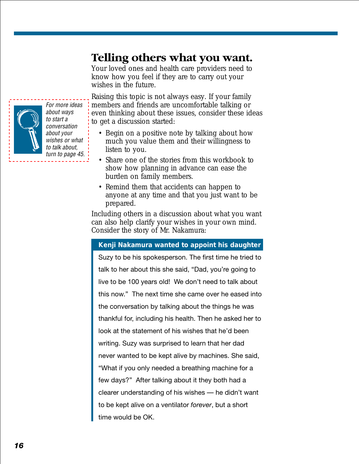### <span id="page-17-0"></span>**Telling others what you want.**

Your loved ones and health care providers need to know how you feel if they are to carry out your wishes in the future.

Raising this topic is not always easy. If your family members and friends are uncomfortable talking or even thinking about these issues, consider these ideas to get a discussion started:

- Begin on a positive note by talking about how much you value them and their willingness to listen to you.
- Share one of the stories from this workbook to show how planning in advance can ease the burden on family members.
- Remind them that accidents can happen to anyone at any time and that you just want to be prepared.

Including others in a discussion about what you want can also help clarify your wishes in your own mind. Consider the story of Mr. Nakamura:

#### **Kenji Nakamura wanted to appoint his daughter**

Suzy to be his spokesperson. The first time he tried to talk to her about this she said, "Dad, you're going to live to be 100 years old! We don't need to talk about this now." The next time she came over he eased into the conversation by talking about the things he was thankful for, including his health. Then he asked her to look at the statement of his wishes that he'd been writing. Suzy was surprised to learn that her dad never wanted to be kept alive by machines. She said, "What if you only needed a breathing machine for a few days?" After talking about it they both had a clearer understanding of his wishes — he didn't want to be kept alive on a ventilator *forever*, but a short time would be OK.



For more ideas about ways to start a conversation about your wishes or what to talk about, [turn to page 45.](#page-45-0)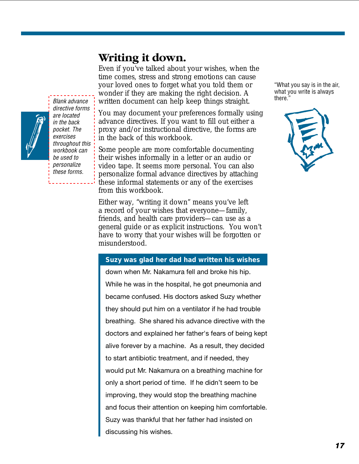### **Writing it down.**

directive forms are located in the back pocket. The exercises throughout this workbook can be used to personalize these forms.

<span id="page-18-0"></span>Even if you've talked about your wishes, when the time comes, stress and strong emotions can cause your loved ones to forget what you told them or wonder if they are making the right decision. A Blank advance written document can help keep things straight. There."



Some people are more comfortable documenting their wishes informally in a letter or an audio or video tape. It seems more personal. You can also personalize formal advance directives by attaching these informal statements or any of the exercises from this workbook.

Either way, "writing it down" means you've left a record of your wishes that everyone—family, friends, and health care providers—can use as a general guide or as explicit instructions. You won't have to worry that your wishes will be forgotten or misunderstood.

#### **Suzy was glad her dad had written his wishes**

down when Mr. Nakamura fell and broke his hip. While he was in the hospital, he got pneumonia and became confused. His doctors asked Suzy whether they should put him on a ventilator if he had trouble breathing. She shared his advance directive with the doctors and explained her father's fears of being kept alive forever by a machine. As a result, they decided to start antibiotic treatment, and if needed, they would put Mr. Nakamura on a breathing machine for only a short period of time. If he didn't seem to be improving, they would stop the breathing machine and focus their attention on keeping him comfortable. Suzy was thankful that her father had insisted on discussing his wishes.

"What you say is in the air, what you write is always

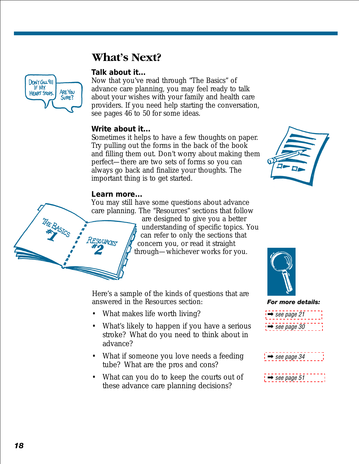### **What's Next?**

#### **Talk about it...**

Now that you've read through "The Basics" of advance care planning, you may feel ready to talk about your wishes with your family and health care providers. If you need help starting the conversation, see pages 46 to 50 for some ideas.

#### **Write about it...**

Sometimes it helps to have a few thoughts on paper. Try pulling out the forms in the back of the book and filling them out. Don't worry about making them perfect—there are two sets of forms so you can always go back and finalize your thoughts. The important thing is to get started.

#### **Learn more...**

**SOURCETS** 

You may still have some questions about advance care planning. The "Resources" sections that follow are designed to give you a better

understanding of specific topics. You can refer to only the sections that concern you, or read it straight through—whichever works for you.

Here's a sample of the kinds of questions that are answered in the Resources section:

- What makes life worth living?
- What's likely to happen if you have a serious stroke? What do you need to think about in advance?
- What if someone you love needs a feeding tube? What are the pros and cons?
- What can you do to keep the courts out of these advance care planning decisions?





➡ [see page 30](#page-31-0)

- $\rightarrow$  [see page 34](#page-35-0)
- $\rightarrow$  [see page 51](#page-51-0)

<span id="page-19-0"></span>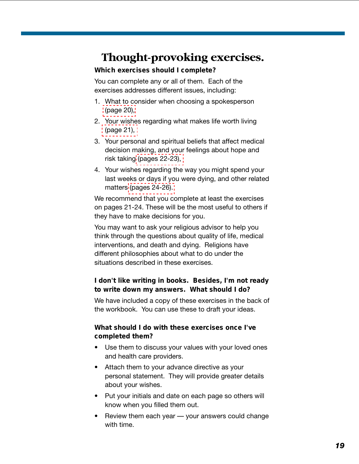### <span id="page-20-0"></span>**Thought-provoking exercises.**

#### **Which exercises should I complete?**

You can complete any or all of them. Each of the exercises addresses different issues, including:

- 1. What to consider when choosing a spokesperson [\(page 20\),](#page-21-0)
- 2. Your wishes regarding what makes life worth living [\(page 21\),](#page-22-0)
- 3. Your personal and spiritual beliefs that affect medical decision making, and your feelings about hope and risk taking [\(pages 22-23\),](#page-23-0)
- 4. Your wishes regarding the way you might spend your last weeks or days if you were dying, and other related matters [\(pages 24-26\).](#page-25-0)

We recommend that you complete at least the exercises on pages 21-24. These will be the most useful to others if they have to make decisions for you.

You may want to ask your religious advisor to help you think through the questions about quality of life, medical interventions, and death and dying. Religions have different philosophies about what to do under the situations described in these exercises.

#### **I don't like writing in books. Besides, I'm not ready to write down my answers. What should I do?**

We have included a copy of these exercises in the back of the workbook. You can use these to draft your ideas.

#### **What should I do with these exercises once I've completed them?**

- Use them to discuss your values with your loved ones and health care providers.
- Attach them to your advance directive as your personal statement. They will provide greater details about your wishes.
- Put your initials and date on each page so others will know when you filled them out.
- Review them each year  $-$  your answers could change with time.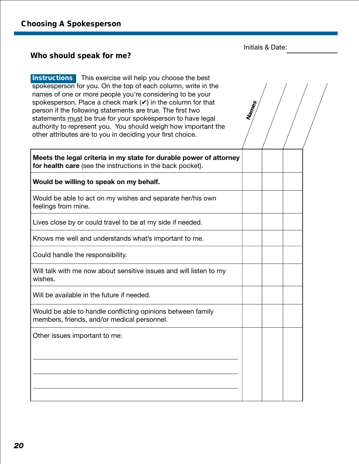**Names**

#### <span id="page-21-0"></span>**Who should speak for me?**

**Instructions** This exercise will help you choose the best spokesperson for you. On the top of each column, write in the names of one or more people you're considering to be your spokesperson. Place a check mark  $(V)$  in the column for that person if the following statements are true. The first two statements must be true for your spokesperson to have legal authority to represent you. You should weigh how important the other attributes are to you in deciding your first choice.

**Meets the legal criteria in my state for durable power of attorney for health care** (see the instructions in the back pocket).

**Would be willing to speak on my behalf.**

Would be able to act on my wishes and separate her/his own feelings from mine.

Lives close by or could travel to be at my side if needed.

Knows me well and understands what's important to me.

Could handle the responsibility.

Will talk with me now about sensitive issues and will listen to my wishes.

Will be available in the future if needed.

Would be able to handle conflicting opinions between family members, friends, and/or medical personnel.

Other issues important to me: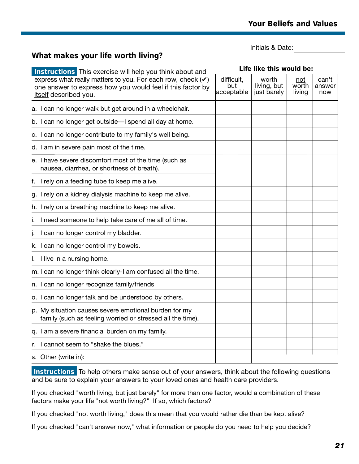#### <span id="page-22-0"></span>**What makes your life worth living?**

Initials & Date:

| <b>Instructions</b> This exercise will help you think about and                                                                                               | Life like this would be:        |                                     |                        |                        |
|---------------------------------------------------------------------------------------------------------------------------------------------------------------|---------------------------------|-------------------------------------|------------------------|------------------------|
| express what really matters to you. For each row, check $(\checkmark)$<br>one answer to express how you would feel if this factor by<br>itself described you. | difficult,<br>but<br>acceptable | worth<br>living, but<br>just barely | not<br>worth<br>living | can't<br>answer<br>now |
| a. I can no longer walk but get around in a wheelchair.                                                                                                       |                                 |                                     |                        |                        |
| b. I can no longer get outside—I spend all day at home.                                                                                                       |                                 |                                     |                        |                        |
| c. I can no longer contribute to my family's well being.                                                                                                      |                                 |                                     |                        |                        |
| d. I am in severe pain most of the time.                                                                                                                      |                                 |                                     |                        |                        |
| e. I have severe discomfort most of the time (such as<br>nausea, diarrhea, or shortness of breath).                                                           |                                 |                                     |                        |                        |
| I rely on a feeding tube to keep me alive.<br>f.                                                                                                              |                                 |                                     |                        |                        |
| g. I rely on a kidney dialysis machine to keep me alive.                                                                                                      |                                 |                                     |                        |                        |
| h. I rely on a breathing machine to keep me alive.                                                                                                            |                                 |                                     |                        |                        |
| I need someone to help take care of me all of time.                                                                                                           |                                 |                                     |                        |                        |
| I can no longer control my bladder.                                                                                                                           |                                 |                                     |                        |                        |
| k. I can no longer control my bowels.                                                                                                                         |                                 |                                     |                        |                        |
| I live in a nursing home.                                                                                                                                     |                                 |                                     |                        |                        |
| m. I can no longer think clearly-I am confused all the time.                                                                                                  |                                 |                                     |                        |                        |
| n. I can no longer recognize family/friends                                                                                                                   |                                 |                                     |                        |                        |
| o. I can no longer talk and be understood by others.                                                                                                          |                                 |                                     |                        |                        |
| p. My situation causes severe emotional burden for my<br>family (such as feeling worried or stressed all the time).                                           |                                 |                                     |                        |                        |
| q. I am a severe financial burden on my family.                                                                                                               |                                 |                                     |                        |                        |
| I cannot seem to "shake the blues."                                                                                                                           |                                 |                                     |                        |                        |
| s. Other (write in):                                                                                                                                          |                                 |                                     |                        |                        |

**Instructions** To help others make sense out of your answers, think about the following questions and be sure to explain your answers to your loved ones and health care providers.

If you checked "worth living, but just barely" for more than one factor, would a combination of these factors make your life "not worth living?" If so, which factors?

If you checked "not worth living," does this mean that you would rather die than be kept alive?

If you checked "can't answer now," what information or people do you need to help you decide?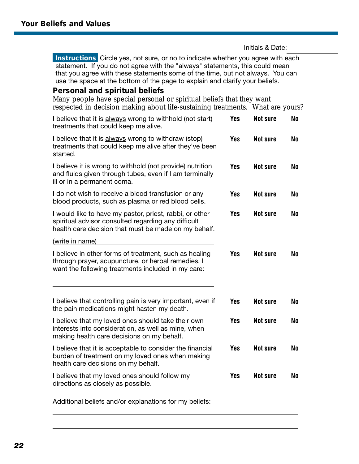<span id="page-23-0"></span>**Instructions** Circle yes, not sure, or no to indicate whether you agree with each statement. If you do not agree with the "always" statements, this could mean that you agree with these statements some of the time, but not always. You can use the space at the bottom of the page to explain and clarify your beliefs.

#### **Personal and spiritual beliefs**

Many people have special personal or spiritual beliefs that they want respected in decision making about life-sustaining treatments. What are yours?

| I believe that it is always wrong to withhold (not start)<br>treatments that could keep me alive.                                                                      | <b>Yes</b> | <b>Not sure</b> | <b>No</b>      |
|------------------------------------------------------------------------------------------------------------------------------------------------------------------------|------------|-----------------|----------------|
| I believe that it is always wrong to withdraw (stop)<br>treatments that could keep me alive after they've been<br>started.                                             | <b>Yes</b> | <b>Not sure</b> | No             |
| I believe it is wrong to withhold (not provide) nutrition<br>and fluids given through tubes, even if I am terminally<br>ill or in a permanent coma.                    | <b>Yes</b> | <b>Not sure</b> | N <sub>0</sub> |
| I do not wish to receive a blood transfusion or any<br>blood products, such as plasma or red blood cells.                                                              | <b>Yes</b> | <b>Not sure</b> | No             |
| I would like to have my pastor, priest, rabbi, or other<br>spiritual advisor consulted regarding any difficult<br>health care decision that must be made on my behalf. | Yes        | <b>Not sure</b> | No             |
| (write in name)                                                                                                                                                        |            |                 |                |
| I believe in other forms of treatment, such as healing<br>through prayer, acupuncture, or herbal remedies. I<br>want the following treatments included in my care:     | <b>Yes</b> | <b>Not sure</b> | N <sub>0</sub> |
| I believe that controlling pain is very important, even if<br>the pain medications might hasten my death.                                                              | <b>Yes</b> | <b>Not sure</b> | N <sub>0</sub> |
| I believe that my loved ones should take their own<br>interests into consideration, as well as mine, when<br>making health care decisions on my behalf.                | <b>Yes</b> | <b>Not sure</b> | No             |
| I believe that it is acceptable to consider the financial<br>burden of treatment on my loved ones when making<br>health care decisions on my behalf.                   | <b>Yes</b> | <b>Not sure</b> | <b>No</b>      |
| I believe that my loved ones should follow my<br>directions as closely as possible.                                                                                    | <b>Yes</b> | <b>Not sure</b> | <b>No</b>      |

Additional beliefs and/or explanations for my beliefs: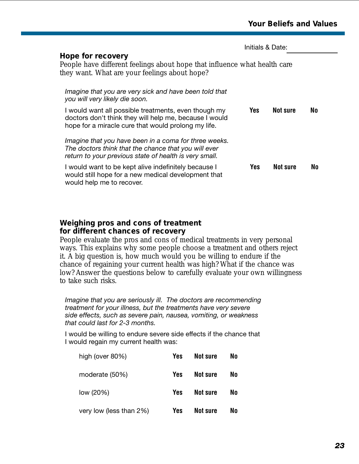<span id="page-24-0"></span>

|                                                                                                                                                                         |            | Initials & Date: |    |  |
|-------------------------------------------------------------------------------------------------------------------------------------------------------------------------|------------|------------------|----|--|
| Hope for recovery<br>People have different feelings about hope that influence what health care<br>they want. What are your feelings about hope?                         |            |                  |    |  |
| Imagine that you are very sick and have been told that<br>you will very likely die soon.                                                                                |            |                  |    |  |
| I would want all possible treatments, even though my<br>doctors don't think they will help me, because I would<br>hope for a miracle cure that would prolong my life.   | <b>Yes</b> | Not sure         | No |  |
| Imagine that you have been in a coma for three weeks.<br>The doctors think that the chance that you will ever<br>return to your previous state of health is very small. |            |                  |    |  |
| I would want to be kept alive indefinitely because I<br>would still hope for a new medical development that<br>would help me to recover.                                | Yes        | <b>Not sure</b>  | No |  |

#### **Weighing pros and cons of treatment for different chances of recovery**

People evaluate the pros and cons of medical treatments in very personal ways. This explains why some people choose a treatment and others reject it. A big question is, how much would you be willing to endure if the chance of regaining your current health was high? What if the chance was low? Answer the questions below to carefully evaluate your own willingness to take such risks.

*Imagine that you are seriously ill. The doctors are recommending treatment for your illness, but the treatments have very severe side effects, such as severe pain, nausea, vomiting, or weakness that could last for 2-3 months.*

I would be willing to endure severe side effects if the chance that I would regain my current health was:

| high (over 80%)         | Yes        | <b>Not sure</b> | No |
|-------------------------|------------|-----------------|----|
| moderate (50%)          | <b>Yes</b> | <b>Not sure</b> | No |
| low (20%)               | <b>Yes</b> | <b>Not sure</b> | No |
| very low (less than 2%) | Yes        | Not sure        | No |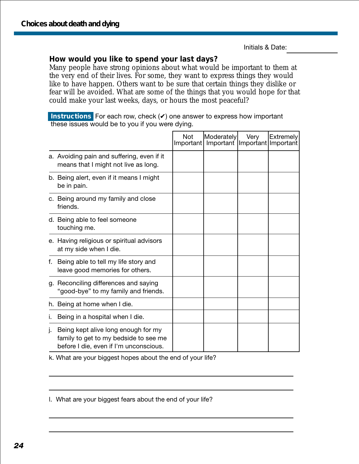#### <span id="page-25-0"></span>**How would you like to spend your last days?**

Many people have strong opinions about what would be important to them at the very end of their lives. For some, they want to express things they would like to have happen. Others want to be sure that certain things they dislike or fear will be avoided. What are some of the things that you would hope for that could make your last weeks, days, or hours the most peaceful?

**Instructions** For each row, check (✔) one answer to express how important these issues would be to you if you were dying.

|    |                                                                                                                        | <b>Not</b><br>Important | Moderately<br>Important Important Important | Very | Extremely |
|----|------------------------------------------------------------------------------------------------------------------------|-------------------------|---------------------------------------------|------|-----------|
|    | a. Avoiding pain and suffering, even if it<br>means that I might not live as long.                                     |                         |                                             |      |           |
|    | b. Being alert, even if it means I might<br>be in pain.                                                                |                         |                                             |      |           |
|    | c. Being around my family and close<br>friends.                                                                        |                         |                                             |      |           |
|    | d. Being able to feel someone<br>touching me.                                                                          |                         |                                             |      |           |
|    | e. Having religious or spiritual advisors<br>at my side when I die.                                                    |                         |                                             |      |           |
| f. | Being able to tell my life story and<br>leave good memories for others.                                                |                         |                                             |      |           |
|    | g. Reconciling differences and saying<br>"good-bye" to my family and friends.                                          |                         |                                             |      |           |
|    | h. Being at home when I die.                                                                                           |                         |                                             |      |           |
| ۱. | Being in a hospital when I die.                                                                                        |                         |                                             |      |           |
| ı. | Being kept alive long enough for my<br>family to get to my bedside to see me<br>before I die, even if I'm unconscious. |                         |                                             |      |           |

k. What are your biggest hopes about the end of your life?

l. What are your biggest fears about the end of your life?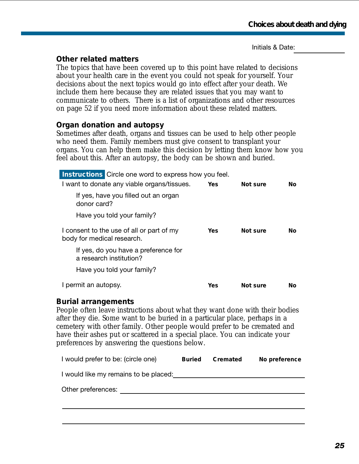#### <span id="page-26-0"></span>**Other related matters**

The topics that have been covered up to this point have related to decisions about your health care in the event you could not speak for yourself. Your decisions about the next topics would go into effect after your death. We include them here because they are related issues that you may want to communicate to others. There is a list of organizations and other resources on page 52 if you need more information about these related matters.

#### **Organ donation and autopsy**

Sometimes after death, organs and tissues can be used to help other people who need them. Family members must give consent to transplant your organs. You can help them make this decision by letting them know how you feel about this. After an autopsy, the body can be shown and buried.

|                            | <b>Instructions</b> Circle one word to express how you feel.    |      |          |     |  |
|----------------------------|-----------------------------------------------------------------|------|----------|-----|--|
|                            | I want to donate any viable organs/tissues.                     | Yes  | Not sure | No. |  |
| donor card?                | If yes, have you filled out an organ                            |      |          |     |  |
|                            | Have you told your family?                                      |      |          |     |  |
| body for medical research. | I consent to the use of all or part of my                       | Yes. | Not sure | No. |  |
|                            | If yes, do you have a preference for<br>a research institution? |      |          |     |  |
|                            | Have you told your family?                                      |      |          |     |  |
| I permit an autopsy.       |                                                                 | Yes  | Not sure | Νo  |  |

#### **Burial arrangements**

People often leave instructions about what they want done with their bodies after they die. Some want to be buried in a particular place, perhaps in a cemetery with other family. Other people would prefer to be cremated and have their ashes put or scattered in a special place. You can indicate your preferences by answering the questions below.

| I would prefer to be: (circle one)    | <b>Buried</b> | <b>Cremated</b> | No preference |
|---------------------------------------|---------------|-----------------|---------------|
| I would like my remains to be placed: |               |                 |               |
| Other preferences:                    |               |                 |               |
|                                       |               |                 |               |
|                                       |               |                 |               |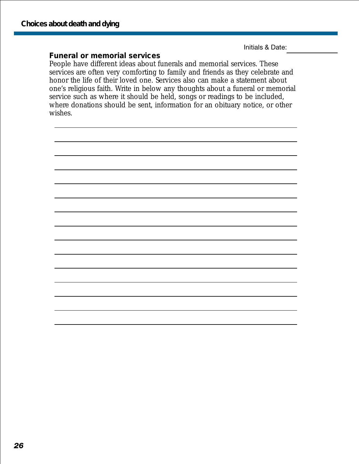#### <span id="page-27-0"></span>**Funeral or memorial services**

People have different ideas about funerals and memorial services. These services are often very comforting to family and friends as they celebrate and honor the life of their loved one. Services also can make a statement about one's religious faith. Write in below any thoughts about a funeral or memorial service such as where it should be held, songs or readings to be included, where donations should be sent, information for an obituary notice, or other wishes.

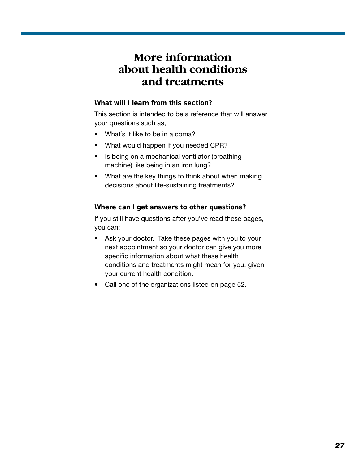### <span id="page-28-0"></span>**More information about health conditions and treatments**

#### **What will I learn from this section?**

This section is intended to be a reference that will answer your questions such as,

- What's it like to be in a coma?
- What would happen if you needed CPR?
- Is being on a mechanical ventilator (breathing machine) like being in an iron lung?
- What are the key things to think about when making decisions about life-sustaining treatments?

#### **Where can I get answers to other questions?**

If you still have questions after you've read these pages, you can:

- Ask your doctor. Take these pages with you to your next appointment so your doctor can give you more specific information about what these health conditions and treatments might mean for you, given your current health condition.
- Call one of the organizations listed on page 52.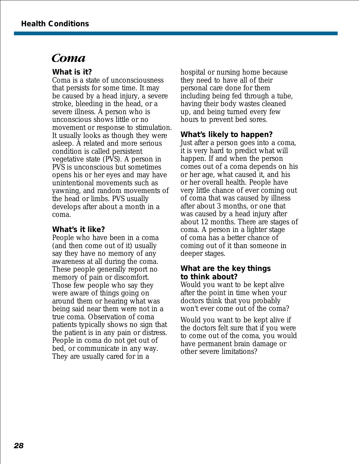### <span id="page-29-0"></span>*Coma*

#### **What is it?**

Coma is a state of unconsciousness that persists for some time. It may be caused by a head injury, a severe stroke, bleeding in the head, or a severe illness. A person who is unconscious shows little or no movement or response to stimulation. It usually looks as though they were asleep. A related and more serious condition is called persistent vegetative state (PVS). A person in PVS is unconscious but sometimes opens his or her eyes and may have unintentional movements such as yawning, and random movements of the head or limbs. PVS usually develops after about a month in a coma.

#### **What's it like?**

People who have been in a coma (and then come out of it) usually say they have no memory of any awareness at all during the coma. These people generally report no memory of pain or discomfort. Those few people who say they were aware of things going on around them or hearing what was being said near them were not in a true coma. Observation of coma patients typically shows no sign that the patient is in any pain or distress. People in coma do not get out of bed, or communicate in any way. They are usually cared for in a

hospital or nursing home because they need to have all of their personal care done for them including being fed through a tube, having their body wastes cleaned up, and being turned every few hours to prevent bed sores.

#### **What's likely to happen?**

Just after a person goes into a coma, it is very hard to predict what will happen. If and when the person comes out of a coma depends on his or her age, what caused it, and his or her overall health. People have very little chance of ever coming out of coma that was caused by illness after about 3 months, or one that was caused by a head injury after about 12 months. There are stages of coma. A person in a lighter stage of coma has a better chance of coming out of it than someone in deeper stages.

#### **What are the key things to think about?**

Would you want to be kept alive after the point in time when your doctors think that you probably won't ever come out of the coma?

Would you want to be kept alive if the doctors felt sure that if you were to come out of the coma, you would have permanent brain damage or other severe limitations?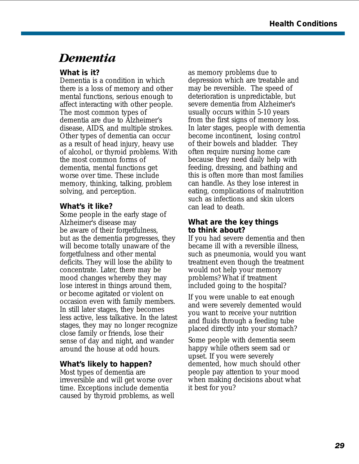### <span id="page-30-0"></span>*Dementia*

#### **What is it?**

Dementia is a condition in which there is a loss of memory and other mental functions, serious enough to affect interacting with other people. The most common types of dementia are due to Alzheimer's disease, AIDS, and multiple strokes. Other types of dementia can occur as a result of head injury, heavy use of alcohol, or thyroid problems. With the most common forms of dementia, mental functions get worse over time. These include memory, thinking, talking, problem solving, and perception.

#### **What's it like?**

Some people in the early stage of Alzheimer's disease may be aware of their forgetfulness, but as the dementia progresses, they will become totally unaware of the forgetfulness and other mental deficits. They will lose the ability to concentrate. Later, there may be mood changes whereby they may lose interest in things around them, or become agitated or violent on occasion even with family members. In still later stages, they becomes less active, less talkative. In the latest stages, they may no longer recognize close family or friends, lose their sense of day and night, and wander around the house at odd hours.

#### **What's likely to happen?**

Most types of dementia are irreversible and will get worse over time. Exceptions include dementia caused by thyroid problems, as well as memory problems due to depression which are treatable and may be reversible. The speed of deterioration is unpredictable, but severe dementia from Alzheimer's usually occurs within 5-10 years from the first signs of memory loss. In later stages, people with dementia become incontinent, losing control of their bowels and bladder. They often require nursing home care because they need daily help with feeding, dressing, and bathing and this is often more than most families can handle. As they lose interest in eating, complications of malnutrition such as infections and skin ulcers can lead to death.

#### **What are the key things to think about?**

If you had severe dementia and then became ill with a reversible illness, such as pneumonia, would you want treatment even though the treatment would not help your memory problems? What if treatment included going to the hospital?

If you were unable to eat enough and were severely demented would you want to receive your nutrition and fluids through a feeding tube placed directly into your stomach?

Some people with dementia seem happy while others seem sad or upset. If you were severely demented, how much should other people pay attention to your mood when making decisions about what it best for you?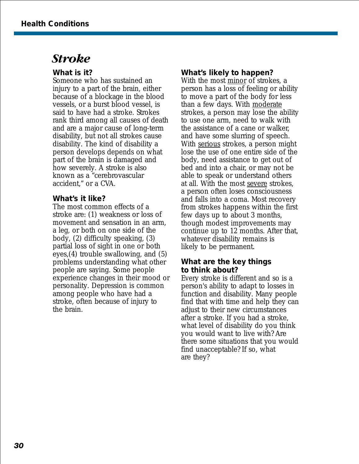### <span id="page-31-0"></span>*Stroke*

#### **What is it?**

Someone who has sustained an injury to a part of the brain, either because of a blockage in the blood vessels, or a burst blood vessel, is said to have had a stroke. Strokes rank third among all causes of death and are a major cause of long-term disability, but not all strokes cause disability. The kind of disability a person develops depends on what part of the brain is damaged and how severely. A stroke is also known as a "cerebrovascular accident," or a CVA.

#### **What's it like?**

The most common effects of a stroke are: (1) weakness or loss of movement and sensation in an arm, a leg, or both on one side of the body, (2) difficulty speaking, (3) partial loss of sight in one or both eyes,(4) trouble swallowing, and (5) problems understanding what other people are saying. Some people experience changes in their mood or personality. Depression is common among people who have had a stroke, often because of injury to the brain.

#### **What's likely to happen?**

With the most minor of strokes, a person has a loss of feeling or ability to move a part of the body for less than a few days. With moderate strokes, a person may lose the ability to use one arm, need to walk with the assistance of a cane or walker, and have some slurring of speech. With serious strokes, a person might lose the use of one entire side of the body, need assistance to get out of bed and into a chair, or may not be able to speak or understand others at all. With the most severe strokes, a person often loses consciousness and falls into a coma. Most recovery from strokes happens within the first few days up to about 3 months, though modest improvements may continue up to 12 months. After that, whatever disability remains is likely to be permanent.

#### **What are the key things to think about?**

Every stroke is different and so is a person's ability to adapt to losses in function and disability. Many people find that with time and help they can adjust to their new circumstances after a stroke. If you had a stroke, what level of disability do you think you would want to live with? Are there some situations that you would find unacceptable? If so, what are they?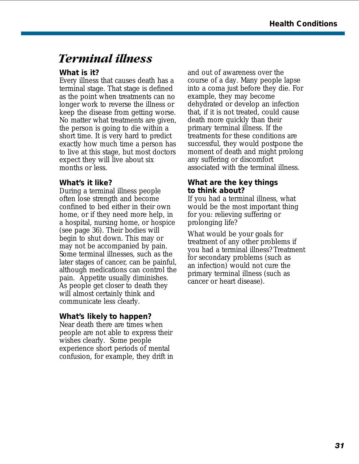### <span id="page-32-0"></span>*Terminal illness*

#### **What is it?**

Every illness that causes death has a terminal stage. That stage is defined as the point when treatments can no longer work to reverse the illness or keep the disease from getting worse. No matter what treatments are given, the person is going to die within a short time. It is very hard to predict exactly how much time a person has to live at this stage, but most doctors expect they will live about six months or less.

#### **What's it like?**

During a terminal illness people often lose strength and become confined to bed either in their own home, or if they need more help, in a hospital, nursing home, or hospice (see page 36). Their bodies will begin to shut down. This may or may not be accompanied by pain. Some terminal illnesses, such as the later stages of cancer, can be painful, although medications can control the pain. Appetite usually diminishes. As people get closer to death they will almost certainly think and communicate less clearly.

#### **What's likely to happen?**

Near death there are times when people are not able to express their wishes clearly. Some people experience short periods of mental confusion, for example, they drift in

and out of awareness over the course of a day. Many people lapse into a coma just before they die. For example, they may become dehydrated or develop an infection that, if it is not treated, could cause death more quickly than their primary terminal illness. If the treatments for these conditions are successful, they would postpone the moment of death and might prolong any suffering or discomfort associated with the terminal illness.

#### **What are the key things to think about?**

If you had a terminal illness, what would be the most important thing for you: relieving suffering or prolonging life?

What would be your goals for treatment of any other problems if you had a terminal illness? Treatment for secondary problems (such as an infection) would not cure the primary terminal illness (such as cancer or heart disease).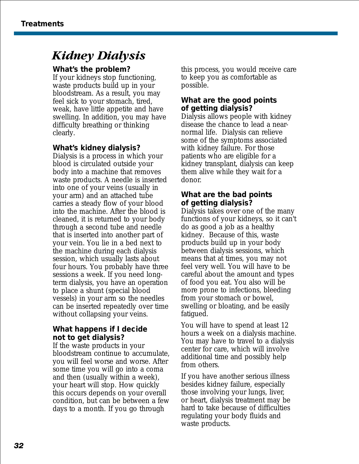### <span id="page-33-0"></span>*Kidney Dialysis*

#### **What's the problem?**

If your kidneys stop functioning, waste products build up in your bloodstream. As a result, you may feel sick to your stomach, tired, weak, have little appetite and have swelling. In addition, you may have difficulty breathing or thinking clearly.

#### **What's kidney dialysis?**

Dialysis is a process in which your blood is circulated outside your body into a machine that removes waste products. A needle is inserted into one of your veins (usually in your arm) and an attached tube carries a steady flow of your blood into the machine. After the blood is cleaned, it is returned to your body through a second tube and needle that is inserted into another part of your vein. You lie in a bed next to the machine during each dialysis session, which usually lasts about four hours. You probably have three sessions a week. If you need longterm dialysis, you have an operation to place a shunt (special blood vessels) in your arm so the needles can be inserted repeatedly over time without collapsing your veins.

#### **What happens if I decide not to get dialysis?**

If the waste products in your bloodstream continue to accumulate, you will feel worse and worse. After some time you will go into a coma and then (usually within a week), your heart will stop. How quickly this occurs depends on your overall condition, but can be between a few days to a month. If you go through

this process, you would receive care to keep you as comfortable as possible.

#### **What are the good points of getting dialysis?**

Dialysis allows people with kidney disease the chance to lead a nearnormal life. Dialysis can relieve some of the symptoms associated with kidney failure. For those patients who are eligible for a kidney transplant, dialysis can keep them alive while they wait for a donor.

#### **What are the bad points of getting dialysis?**

Dialysis takes over one of the many functions of your kidneys, so it can't do as good a job as a healthy kidney. Because of this, waste products build up in your body between dialysis sessions, which means that at times, you may not feel very well. You will have to be careful about the amount and types of food you eat. You also will be more prone to infections, bleeding from your stomach or bowel, swelling or bloating, and be easily fatigued.

You will have to spend at least 12 hours a week on a dialysis machine. You may have to travel to a dialysis center for care, which will involve additional time and possibly help from others.

If you have another serious illness besides kidney failure, especially those involving your lungs, liver, or heart, dialysis treatment may be hard to take because of difficulties regulating your body fluids and waste products.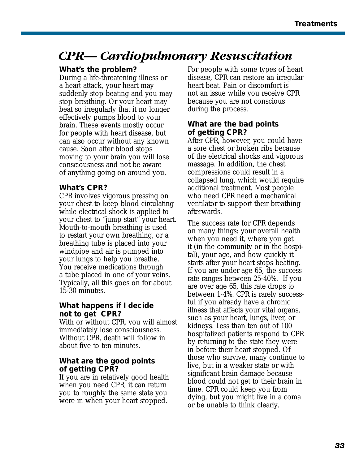### <span id="page-34-0"></span>*CPR— Cardiopulmonary Resuscitation*

#### **What's the problem?**

During a life-threatening illness or a heart attack, your heart may suddenly stop beating and you may stop breathing. Or your heart may beat so irregularly that it no longer effectively pumps blood to your brain. These events mostly occur for people with heart disease, but can also occur without any known cause. Soon after blood stops moving to your brain you will lose consciousness and not be aware of anything going on around you.

#### **What's CPR?**

CPR involves vigorous pressing on your chest to keep blood circulating while electrical shock is applied to your chest to "jump start" your heart. Mouth-to-mouth breathing is used to restart your own breathing, or a breathing tube is placed into your windpipe and air is pumped into your lungs to help you breathe. You receive medications through a tube placed in one of your veins. Typically, all this goes on for about 15-30 minutes.

#### **What happens if I decide not to get CPR?**

With or without CPR, you will almost immediately lose consciousness. Without CPR, death will follow in about five to ten minutes.

#### **What are the good points of getting CPR?**

If you are in relatively good health when you need CPR, it can return you to roughly the same state you were in when your heart stopped.

For people with some types of heart disease, CPR can restore an irregular heart beat. Pain or discomfort is not an issue while you receive CPR because you are not conscious during the process.

#### **What are the bad points of getting CPR?**

After CPR, however, you could have a sore chest or broken ribs because of the electrical shocks and vigorous massage. In addition, the chest compressions could result in a collapsed lung, which would require additional treatment. Most people who need CPR need a mechanical ventilator to support their breathing afterwards.

The success rate for CPR depends on many things: your overall health when you need it, where you get it (in the community or in the hospital), your age, and how quickly it starts after your heart stops beating. If you are under age 65, the success rate ranges between 25-40%. If you are over age 65, this rate drops to between 1-4%. CPR is rarely successful if you already have a chronic illness that affects your vital organs, such as your heart, lungs, liver, or kidneys. Less than ten out of 100 hospitalized patients respond to CPR by returning to the state they were in before their heart stopped. Of those who survive, many continue to live, but in a weaker state or with significant brain damage because blood could not get to their brain in time. CPR could keep you from dying, but you might live in a coma or be unable to think clearly.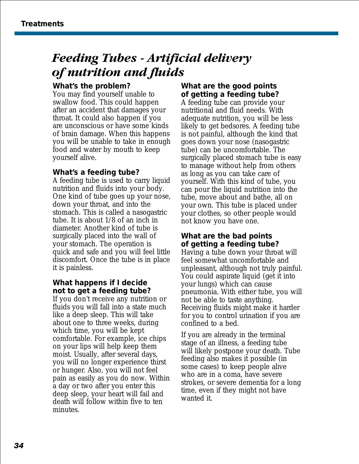### <span id="page-35-0"></span>*Feeding Tubes - Artificial delivery of nutrition and fluids*

#### **What's the problem?**

You may find yourself unable to swallow food. This could happen after an accident that damages your throat. It could also happen if you are unconscious or have some kinds of brain damage. When this happens you will be unable to take in enough food and water by mouth to keep yourself alive.

#### **What's a feeding tube?**

A feeding tube is used to carry liquid nutrition and fluids into your body. One kind of tube goes up your nose, down your throat, and into the stomach. This is called a nasogastric tube. It is about 1/8 of an inch in diameter. Another kind of tube is surgically placed into the wall of your stomach. The operation is quick and safe and you will feel little discomfort. Once the tube is in place it is painless.

#### **What happens if I decide not to get a feeding tube?**

If you don't receive any nutrition or fluids you will fall into a state much like a deep sleep. This will take about one to three weeks, during which time, you will be kept comfortable. For example, ice chips on your lips will help keep them moist. Usually, after several days, you will no longer experience thirst or hunger. Also, you will not feel pain as easily as you do now. Within a day or two after you enter this deep sleep, your heart will fail and death will follow within five to ten minutes.

#### **What are the good points of getting a feeding tube?**

A feeding tube can provide your nutritional and fluid needs. With adequate nutrition, you will be less likely to get bedsores. A feeding tube is not painful, although the kind that goes down your nose (nasogastric tube) can be uncomfortable. The surgically placed stomach tube is easy to manage without help from others as long as you can take care of yourself. With this kind of tube, you can pour the liquid nutrition into the tube, move about and bathe, all on your own. This tube is placed under your clothes, so other people would not know you have one.

#### **What are the bad points of getting a feeding tube?**

Having a tube down your throat will feel somewhat uncomfortable and unpleasant, although not truly painful. You could aspirate liquid (get it into your lungs) which can cause pneumonia. With either tube, you will not be able to taste anything. Receiving fluids might make it harder for you to control urination if you are confined to a bed.

If you are already in the terminal stage of an illness, a feeding tube will likely postpone your death. Tube feeding also makes it possible (in some cases) to keep people alive who are in a coma, have severe strokes, or severe dementia for a long time, even if they might not have wanted it.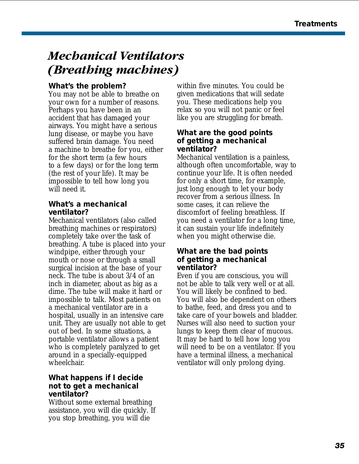### <span id="page-36-0"></span>*Mechanical Ventilators (Breathing machines)*

#### **What's the problem?**

You may not be able to breathe on your own for a number of reasons. Perhaps you have been in an accident that has damaged your airways. You might have a serious lung disease, or maybe you have suffered brain damage. You need a machine to breathe for you, either for the short term (a few hours to a few days) or for the long term (the rest of your life). It may be impossible to tell how long you will need it.

#### **What's a mechanical ventilator?**

Mechanical ventilators (also called breathing machines or respirators) completely take over the task of breathing. A tube is placed into your windpipe, either through your mouth or nose or through a small surgical incision at the base of your neck. The tube is about 3/4 of an inch in diameter, about as big as a dime. The tube will make it hard or impossible to talk. Most patients on a mechanical ventilator are in a hospital, usually in an intensive care unit. They are usually not able to get out of bed. In some situations, a portable ventilator allows a patient who is completely paralyzed to get around in a specially-equipped wheelchair.

#### **What happens if I decide not to get a mechanical ventilator?**

Without some external breathing assistance, you will die quickly. If you stop breathing, you will die

within five minutes. You could be given medications that will sedate you. These medications help you relax so you will not panic or feel like you are struggling for breath.

#### **What are the good points of getting a mechanical ventilator?**

Mechanical ventilation is a painless, although often uncomfortable, way to continue your life. It is often needed for only a short time, for example, just long enough to let your body recover from a serious illness. In some cases, it can relieve the discomfort of feeling breathless. If you need a ventilator for a long time, it can sustain your life indefinitely when you might otherwise die.

#### **What are the bad points of getting a mechanical ventilator?**

Even if you are conscious, you will not be able to talk very well or at all. You will likely be confined to bed. You will also be dependent on others to bathe, feed, and dress you and to take care of your bowels and bladder. Nurses will also need to suction your lungs to keep them clear of mucous. It may be hard to tell how long you will need to be on a ventilator. If you have a terminal illness, a mechanical ventilator will only prolong dying.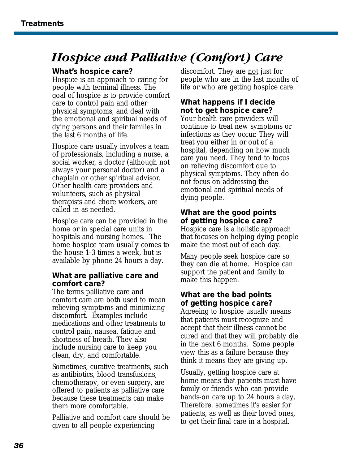### <span id="page-37-0"></span>*Hospice and Palliative (Comfort) Care*

#### **What's hospice care?**

Hospice is an approach to caring for people with terminal illness. The goal of hospice is to provide comfort care to control pain and other physical symptoms, and deal with the emotional and spiritual needs of dying persons and their families in the last 6 months of life.

Hospice care usually involves a team of professionals, including a nurse, a social worker, a doctor (although not always your personal doctor) and a chaplain or other spiritual advisor. Other health care providers and volunteers, such as physical therapists and chore workers, are called in as needed.

Hospice care can be provided in the home or in special care units in hospitals and nursing homes. The home hospice team usually comes to the house 1-3 times a week, but is available by phone 24 hours a day.

#### **What are palliative care and comfort care?**

The terms palliative care and comfort care are both used to mean relieving symptoms and minimizing discomfort. Examples include medications and other treatments to control pain, nausea, fatigue and shortness of breath. They also include nursing care to keep you clean, dry, and comfortable.

Sometimes, curative treatments, such as antibiotics, blood transfusions, chemotherapy, or even surgery, are offered to patients as palliative care because these treatments can make them more comfortable.

Palliative and comfort care should be given to all people experiencing

discomfort. They are not just for people who are in the last months of life or who are getting hospice care.

#### **What happens if I decide not to get hospice care?**

Your health care providers will continue to treat new symptoms or infections as they occur. They will treat you either in or out of a hospital, depending on how much care you need. They tend to focus on relieving discomfort due to physical symptoms. They often do not focus on addressing the emotional and spiritual needs of dying people.

#### **What are the good points of getting hospice care?**

Hospice care is a holistic approach that focuses on helping dying people make the most out of each day.

Many people seek hospice care so they can die at home. Hospice can support the patient and family to make this happen.

#### **What are the bad points of getting hospice care?**

Agreeing to hospice usually means that patients must recognize and accept that their illness cannot be cured and that they will probably die in the next 6 months. Some people view this as a failure because they think it means they are giving up.

Usually, getting hospice care at home means that patients must have family or friends who can provide hands-on care up to 24 hours a day. Therefore, sometimes it's easier for patients, as well as their loved ones, to get their final care in a hospital.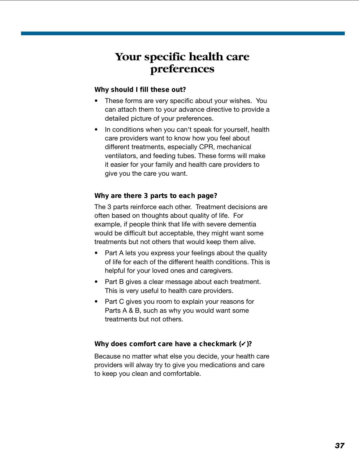### <span id="page-38-0"></span>**Your specific health care preferences**

#### **Why should I fill these out?**

- These forms are very specific about your wishes. You can attach them to your advance directive to provide a detailed picture of your preferences.
- In conditions when you can't speak for yourself, health care providers want to know how you feel about different treatments, especially CPR, mechanical ventilators, and feeding tubes. These forms will make it easier for your family and health care providers to give you the care you want.

#### **Why are there 3 parts to each page?**

The 3 parts reinforce each other. Treatment decisions are often based on thoughts about quality of life. For example, if people think that life with severe dementia would be difficult but acceptable, they might want some treatments but not others that would keep them alive.

- Part A lets you express your feelings about the quality of life for each of the different health conditions. This is helpful for your loved ones and caregivers.
- Part B gives a clear message about each treatment. This is very useful to health care providers.
- Part C gives you room to explain your reasons for Parts A & B, such as why you would want some treatments but not others.

#### **Why does comfort care have a checkmark (**✔**)?**

Because no matter what else you decide, your health care providers will alway try to give you medications and care to keep you clean and comfortable.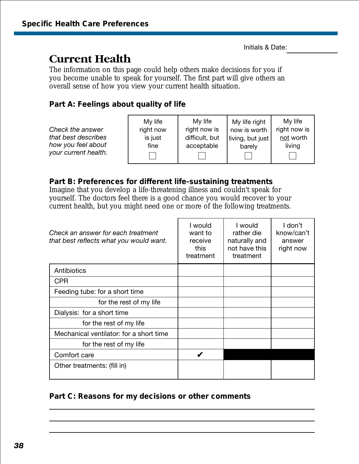### <span id="page-39-0"></span>**Current Health**

The information on this page could help others make decisions for you if you become unable to speak for yourself. The first part will give others an overall sense of how you view your current health situation.

#### **Part A: Feelings about quality of life**

|                      | My life   | My life        | My life right    | My life      |
|----------------------|-----------|----------------|------------------|--------------|
| Check the answer     | right now | right now is   | now is worth     | right now is |
| that best describes  | is just   | difficult, but | living, but just | not worth    |
| how you feel about   | fine      | acceptable     | barely           | living       |
| your current health. |           |                |                  |              |

#### **Part B: Preferences for different life-sustaining treatments**

Imagine that you develop a life-threatening illness and couldn't speak for yourself. The doctors feel there is a good chance you would recover to your current health, but you might need one or more of the following treatments.

| Check an answer for each treatment<br>that best reflects what you would want. | I would<br>want to<br>receive<br>this<br>treatment | I would<br>rather die<br>naturally and<br>not have this<br>treatment | I don't<br>know/can't<br>answer<br>right now |
|-------------------------------------------------------------------------------|----------------------------------------------------|----------------------------------------------------------------------|----------------------------------------------|
| Antibiotics                                                                   |                                                    |                                                                      |                                              |
| <b>CPR</b>                                                                    |                                                    |                                                                      |                                              |
| Feeding tube: for a short time                                                |                                                    |                                                                      |                                              |
| for the rest of my life                                                       |                                                    |                                                                      |                                              |
| Dialysis: for a short time                                                    |                                                    |                                                                      |                                              |
| for the rest of my life                                                       |                                                    |                                                                      |                                              |
| Mechanical ventilator: for a short time                                       |                                                    |                                                                      |                                              |
| for the rest of my life                                                       |                                                    |                                                                      |                                              |
| Comfort care                                                                  |                                                    |                                                                      |                                              |
| Other treatments: (fill in)                                                   |                                                    |                                                                      |                                              |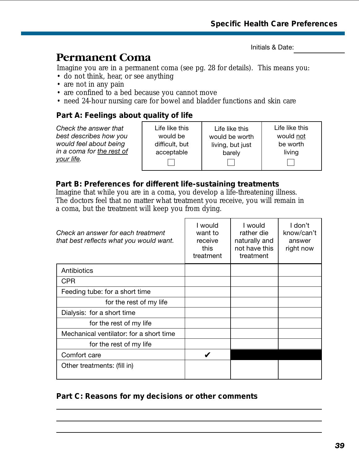Life like this would be worth living, but just barely

 $\perp$ 

### <span id="page-40-0"></span>**Permanent Coma**

Imagine you are in a permanent coma (see pg. 28 for details). This means you:

- do not think, hear, or see anything
- are not in any pain
- are confined to a bed because you cannot move
- need 24-hour nursing care for bowel and bladder functions and skin care

#### **Part A: Feelings about quality of life**

*Check the answer that best describes how you would feel about being in a coma for the rest of your life.*

Life like this would be difficult, but acceptable  $\Box$ 

Life like this would not be worth living

#### **Part B: Preferences for different life-sustaining treatments**

Imagine that while you are in a coma, you develop a life-threatening illness. The doctors feel that no matter what treatment you receive, you will remain in a coma, but the treatment will keep you from dying.

| Check an answer for each treatment<br>that best reflects what you would want. | I would<br>want to<br>receive<br>this<br>treatment | I would<br>rather die<br>naturally and<br>not have this<br>treatment | I don't<br>know/can't<br>answer<br>right now |
|-------------------------------------------------------------------------------|----------------------------------------------------|----------------------------------------------------------------------|----------------------------------------------|
| Antibiotics                                                                   |                                                    |                                                                      |                                              |
| <b>CPR</b>                                                                    |                                                    |                                                                      |                                              |
| Feeding tube: for a short time                                                |                                                    |                                                                      |                                              |
| for the rest of my life                                                       |                                                    |                                                                      |                                              |
| Dialysis: for a short time                                                    |                                                    |                                                                      |                                              |
| for the rest of my life                                                       |                                                    |                                                                      |                                              |
| Mechanical ventilator: for a short time                                       |                                                    |                                                                      |                                              |
| for the rest of my life                                                       |                                                    |                                                                      |                                              |
| Comfort care                                                                  |                                                    |                                                                      |                                              |
| Other treatments: (fill in)                                                   |                                                    |                                                                      |                                              |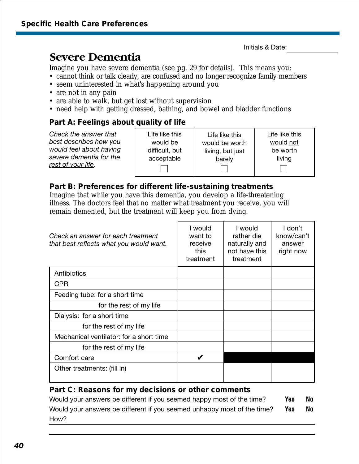### <span id="page-41-0"></span>**Severe Dementia**

Imagine you have severe dementia (see pg. 29 for details). This means you:

- cannot think or talk clearly, are confused and no longer recognize family members
- seem uninterested in what's happening around you
- are not in any pain
- are able to walk, but get lost without supervision
- need help with getting dressed, bathing, and bowel and bladder functions

#### **Part A: Feelings about quality of life**

*Check the answer that best describes how you would feel about having severe dementia for the rest of your life.*

| Life like this |  |
|----------------|--|
| would be       |  |
| difficult, but |  |
| acceptable     |  |
|                |  |

| Life like this   |
|------------------|
| would be worth   |
| living, but just |
| barely           |

Life like this would not be worth living

 $\mathbf{I}$ 

#### **Part B: Preferences for different life-sustaining treatments**

Imagine that while you have this dementia, you develop a life-threatening illness. The doctors feel that no matter what treatment you receive, you will remain demented, but the treatment will keep you from dying.

| Check an answer for each treatment<br>that best reflects what you would want. | l would<br>want to<br>receive<br>this<br>treatment | I would<br>rather die<br>naturally and<br>not have this<br>treatment | I don't<br>know/can't<br>answer<br>right now |
|-------------------------------------------------------------------------------|----------------------------------------------------|----------------------------------------------------------------------|----------------------------------------------|
| Antibiotics                                                                   |                                                    |                                                                      |                                              |
| <b>CPR</b>                                                                    |                                                    |                                                                      |                                              |
| Feeding tube: for a short time                                                |                                                    |                                                                      |                                              |
| for the rest of my life                                                       |                                                    |                                                                      |                                              |
| Dialysis: for a short time                                                    |                                                    |                                                                      |                                              |
| for the rest of my life                                                       |                                                    |                                                                      |                                              |
| Mechanical ventilator: for a short time                                       |                                                    |                                                                      |                                              |
| for the rest of my life                                                       |                                                    |                                                                      |                                              |
| Comfort care                                                                  |                                                    |                                                                      |                                              |
| Other treatments: (fill in)                                                   |                                                    |                                                                      |                                              |

#### **Part C: Reasons for my decisions or other comments**

Would your answers be different if you seemed happy most of the time? **Yes No** Would your answers be different if you seemed unhappy most of the time? **Yes** No How?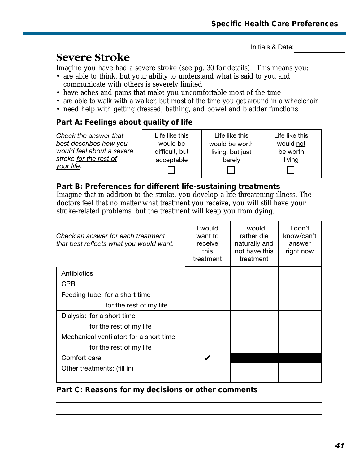### <span id="page-42-0"></span>**Severe Stroke**

Imagine you have had a severe stroke (see pg. 30 for details). This means you:

- are able to think, but your ability to understand what is said to you and communicate with others is severely limited
- have aches and pains that make you uncomfortable most of the time
- are able to walk with a walker, but most of the time you get around in a wheelchair
- need help with getting dressed, bathing, and bowel and bladder functions

#### **Part A: Feelings about quality of life**

| Check the answer that<br>best describes how you<br>would feel about a severe<br>stroke for the rest of<br><u>your life</u> . | Life like this<br>would be<br>difficult, but<br>acceptable | Life like this<br>would be worth<br>living, but just<br>barely | Life like this<br>would not<br>be worth<br>living |
|------------------------------------------------------------------------------------------------------------------------------|------------------------------------------------------------|----------------------------------------------------------------|---------------------------------------------------|
|------------------------------------------------------------------------------------------------------------------------------|------------------------------------------------------------|----------------------------------------------------------------|---------------------------------------------------|

#### **Part B: Preferences for different life-sustaining treatments**

Imagine that in addition to the stroke, you develop a life-threatening illness. The doctors feel that no matter what treatment you receive, you will still have your stroke-related problems, but the treatment will keep you from dying.

| Check an answer for each treatment<br>that best reflects what you would want. | I would<br>want to<br>receive<br>this<br>treatment | I would<br>rather die<br>naturally and<br>not have this<br>treatment | I don't<br>know/can't<br>answer<br>right now |
|-------------------------------------------------------------------------------|----------------------------------------------------|----------------------------------------------------------------------|----------------------------------------------|
| Antibiotics                                                                   |                                                    |                                                                      |                                              |
| <b>CPR</b>                                                                    |                                                    |                                                                      |                                              |
| Feeding tube: for a short time                                                |                                                    |                                                                      |                                              |
| for the rest of my life                                                       |                                                    |                                                                      |                                              |
| Dialysis: for a short time                                                    |                                                    |                                                                      |                                              |
| for the rest of my life                                                       |                                                    |                                                                      |                                              |
| Mechanical ventilator: for a short time                                       |                                                    |                                                                      |                                              |
| for the rest of my life                                                       |                                                    |                                                                      |                                              |
| Comfort care                                                                  |                                                    |                                                                      |                                              |
| Other treatments: (fill in)                                                   |                                                    |                                                                      |                                              |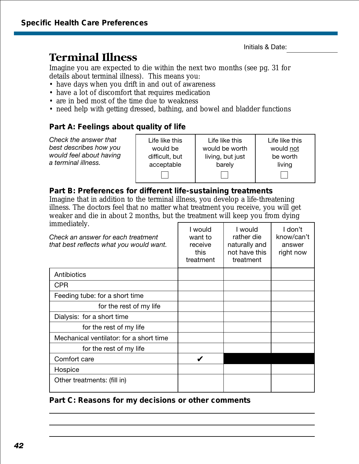### <span id="page-43-0"></span>**Terminal Illness**

Imagine you are expected to die within the next two months (see pg. 31 for details about terminal illness). This means you:

- have days when you drift in and out of awareness
- have a lot of discomfort that requires medication
- are in bed most of the time due to weakness
- need help with getting dressed, bathing, and bowel and bladder functions

#### **Part A: Feelings about quality of life**

| Check the answer that   | Life like this | Life like this   | Life like this |
|-------------------------|----------------|------------------|----------------|
| best describes how you  | would be       | would be worth   | would not      |
| would feel about having | difficult, but | living, but just | be worth       |
| a terminal illness.     | acceptable     | barely           | living         |

#### **Part B: Preferences for different life-sustaining treatments**

Imagine that in addition to the terminal illness, you develop a life-threatening illness. The doctors feel that no matter what treatment you receive, you will get weaker and die in about 2 months, but the treatment will keep you from dying immediately.

| mine underly.<br>Check an answer for each treatment<br>that best reflects what you would want. | I would<br>want to<br>receive<br>this<br>treatment | I would<br>rather die<br>naturally and<br>not have this<br>treatment | I don't<br>know/can't<br>answer<br>right now |
|------------------------------------------------------------------------------------------------|----------------------------------------------------|----------------------------------------------------------------------|----------------------------------------------|
| Antibiotics                                                                                    |                                                    |                                                                      |                                              |
| <b>CPR</b>                                                                                     |                                                    |                                                                      |                                              |
| Feeding tube: for a short time                                                                 |                                                    |                                                                      |                                              |
| for the rest of my life                                                                        |                                                    |                                                                      |                                              |
| Dialysis: for a short time                                                                     |                                                    |                                                                      |                                              |
| for the rest of my life                                                                        |                                                    |                                                                      |                                              |
| Mechanical ventilator: for a short time                                                        |                                                    |                                                                      |                                              |
| for the rest of my life                                                                        |                                                    |                                                                      |                                              |
| Comfort care                                                                                   | V                                                  |                                                                      |                                              |
| Hospice                                                                                        |                                                    |                                                                      |                                              |
| Other treatments: (fill in)                                                                    |                                                    |                                                                      |                                              |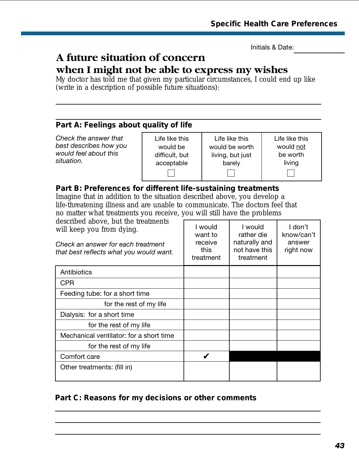### <span id="page-44-0"></span>**A future situation of concern**

### **when I might not be able to express my wishes**

My doctor has told me that given my particular circumstances, I could end up like (write in a description of possible future situations):

#### **Part A: Feelings about quality of life**

*Check the answer that best describes how you would feel about this situation.*

Life like this would be difficult, but acceptable  $\vert \ \ \vert$ 

Life like this would be worth living, but just barely  $\Box$ 

Life like this would not be worth living  $\Box$ 

#### **Part B: Preferences for different life-sustaining treatments**

Imagine that in addition to the situation described above, you develop a life-threatening illness and are unable to communicate. The doctors feel that no matter what treatments you receive, you will still have the problems

| described above, but the treatments<br>will keep you from dying.<br>Check an answer for each treatment<br>that best reflects what you would want. | I would<br>want to<br>receive<br>this<br>treatment | I would<br>rather die<br>naturally and<br>not have this<br>treatment | I don't<br>know/can't<br>answer<br>right now |
|---------------------------------------------------------------------------------------------------------------------------------------------------|----------------------------------------------------|----------------------------------------------------------------------|----------------------------------------------|
| Antibiotics                                                                                                                                       |                                                    |                                                                      |                                              |
| <b>CPR</b>                                                                                                                                        |                                                    |                                                                      |                                              |
| Feeding tube: for a short time                                                                                                                    |                                                    |                                                                      |                                              |
| for the rest of my life                                                                                                                           |                                                    |                                                                      |                                              |
| Dialysis: for a short time                                                                                                                        |                                                    |                                                                      |                                              |
| for the rest of my life                                                                                                                           |                                                    |                                                                      |                                              |
| Mechanical ventilator: for a short time                                                                                                           |                                                    |                                                                      |                                              |
| for the rest of my life                                                                                                                           |                                                    |                                                                      |                                              |
| Comfort care                                                                                                                                      |                                                    |                                                                      |                                              |
| Other treatments: (fill in)                                                                                                                       |                                                    |                                                                      |                                              |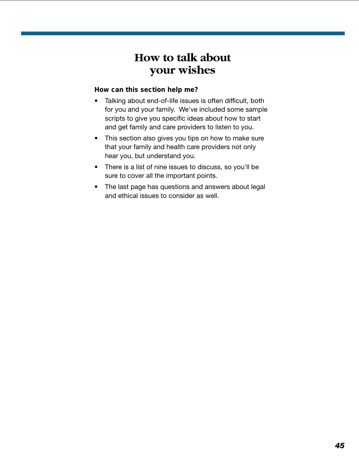### **How to talk about your wishes**

#### <span id="page-45-0"></span>**How can this section help me?**

- Talking about end-of-life issues is often difficult, both for you and your family. We've included some sample scripts to give you specific ideas about how to start and get family and care providers to listen to you.
- This section also gives you tips on how to make sure that your family and health care providers not only hear you, but understand you.
- There is a list of nine issues to discuss, so you'll be sure to cover all the important points.
- The last page has questions and answers about legal and ethical issues to consider as well.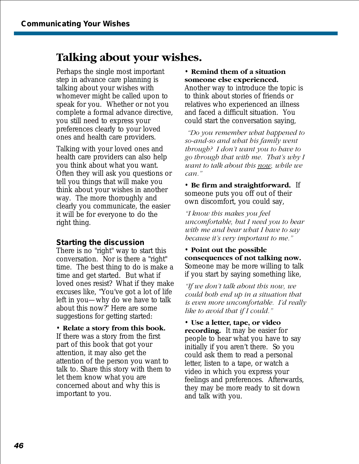### <span id="page-46-0"></span>**Talking about your wishes.**

Perhaps the single most important step in advance care planning is talking about your wishes with whomever might be called upon to speak for you. Whether or not you complete a formal advance directive, you still need to express your preferences clearly to your loved ones and health care providers.

Talking with your loved ones and health care providers can also help you think about what you want. Often they will ask you questions or tell you things that will make you think about your wishes in another way. The more thoroughly and clearly you communicate, the easier it will be for everyone to do the right thing.

#### **Starting the discussion**

There is no "right" way to start this conversation. Nor is there a "right" time. The best thing to do is make a time and get started. But what if loved ones resist? What if they make excuses like, "You've got a lot of life left in you—why do we have to talk about this now?" Here are some suggestions for getting started:

• **Relate a story from this book.**

If there was a story from the first part of this book that got your attention, it may also get the attention of the person you want to talk to. Share this story with them to let them know what you are concerned about and why this is important to you.

#### • **Remind them of a situation someone else experienced.**

Another way to introduce the topic is to think about stories of friends or relatives who experienced an illness and faced a difficult situation. You could start the conversation saying,

*"Do you remember what happened to so-and-so and what his family went through? I don't want you to have to go through that with me. That's why I want to talk about this now, while we can."*

• **Be firm and straightforward.** If someone puts you off out of their own discomfort, you could say,

*"I know this makes you feel uncomfortable, but I need you to bear with me and hear what I have to say because it's very important to me."*

• **Point out the possible consequences of not talking now.** Someone may be more willing to talk if you start by saying something like,

*"If we don't talk about this now, we could both end up in a situation that is even more uncomfortable. I'd really like to avoid that if I could."*

• **Use a letter, tape, or video recording.** It may be easier for people to hear what you have to say initially if you aren't there. So you could ask them to read a personal letter, listen to a tape, or watch a video in which you express your feelings and preferences. Afterwards, they may be more ready to sit down and talk with you.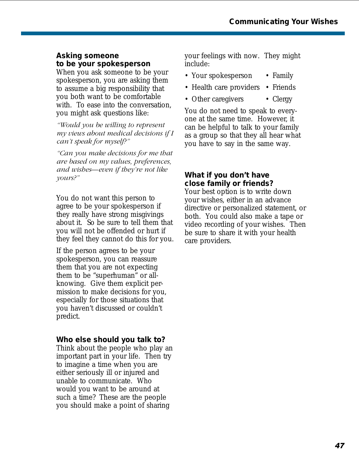#### <span id="page-47-0"></span>**Asking someone to be your spokesperson**

When you ask someone to be your spokesperson, you are asking them to assume a big responsibility that you both want to be comfortable with. To ease into the conversation, you might ask questions like:

*"Would you be willing to represent my views about medical decisions if I can't speak for myself?"*

*"Can you make decisions for me that are based on my values, preferences, and wishes—even if they're not like yours?"*

You do not want this person to agree to be your spokesperson if they really have strong misgivings about it. So be sure to tell them that you will not be offended or hurt if they feel they cannot do this for you.

If the person agrees to be your spokesperson, you can reassure them that you are not expecting them to be "superhuman" or allknowing. Give them explicit permission to make decisions for you, especially for those situations that you haven't discussed or couldn't predict.

#### **Who else should you talk to?**

Think about the people who play an important part in your life. Then try to imagine a time when you are either seriously ill or injured and unable to communicate. Who would you want to be around at such a time? These are the people you should make a point of sharing

your feelings with now. They might include:

- Your spokesperson Family
- Health care providers Friends
- Other caregivers Clergy

You do not need to speak to everyone at the same time. However, it can be helpful to talk to your family as a group so that they all hear what you have to say in the same way.

#### **What if you don't have close family or friends?**

Your best option is to write down your wishes, either in an advance directive or personalized statement, or both. You could also make a tape or video recording of your wishes. Then be sure to share it with your health care providers.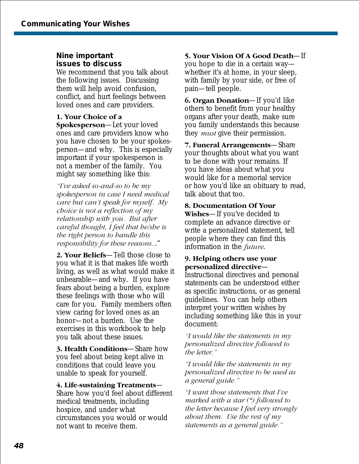#### <span id="page-48-0"></span>**Nine important issues to discuss**

We recommend that you talk about the following issues. Discussing them will help avoid confusion, conflict, and hurt feelings between loved ones and care providers.

#### **1. Your Choice of a**

**Spokesperson**—Let your loved ones and care providers know who you have chosen to be your spokesperson—and why. This is especially important if your spokesperson is not a member of the family. You might say something like this:

*"I've asked so-and-so to be my spokesperson in case I need medical care but can't speak for myself. My choice is not a reflection of my relationship with you. But after careful thought, I feel that he/she is the right person to handle this responsibility for these reasons..*."

**2. Your Beliefs**—Tell those close to you what it is that makes life worth living, as well as what would make it unbearable—and why. If you have fears about being a burden, explore these feelings with those who will care for you. Family members often view caring for loved ones as an honor—not a burden. Use the exercises in this workbook to help you talk about these issues.

**3. Health Conditions**—Share how you feel about being kept alive in conditions that could leave you unable to speak for yourself.

#### **4. Life-sustaining Treatments**—

Share how you'd feel about different medical treatments, including hospice, and under what circumstances you would or would not want to receive them.

#### **5. Your Vision Of A Good Death**—If

you hope to die in a certain way whether it's at home, in your sleep, with family by your side, or free of pain—tell people.

**6. Organ Donation**—If you'd like others to benefit from your healthy organs after your death, make sure you family understands this because they *must* give their permission.

**7. Funeral Arrangements**—Share your thoughts about what you want to be done with your remains. If you have ideas about what you would like for a memorial service or how you'd like an obituary to read, talk about that too.

#### **8. Documentation Of Your**

**Wishes**—If you've decided to complete an advance directive or write a personalized statement, tell people where they can find this information in the *future*.

#### **9. Helping others use your personalized directive**—

Instructional directives and personal statements can be understood either as specific instructions, or as general guidelines. You can help others interpret your written wishes by including something like this in your document:

*"I would like the statements in my personalized directive followed to the letter."*

*"I would like the statements in my personalized directive to be used as a general guide."*

*"I want those statements that I've marked with a star (\*) followed to the letter because I feel very strongly about them. Use the rest of my statements as a general guide."*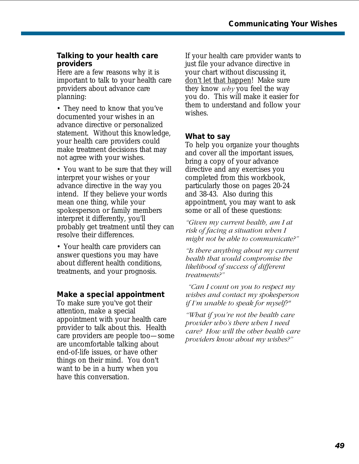#### <span id="page-49-0"></span>**Talking to your health care providers**

Here are a few reasons why it is important to talk to your health care providers about advance care planning:

• They need to know that you've documented your wishes in an advance directive or personalized statement. Without this knowledge, your health care providers could make treatment decisions that may not agree with your wishes.

• You want to be sure that they will interpret your wishes or your advance directive in the way you intend. If they believe your words mean one thing, while your spokesperson or family members interpret it differently, you'll probably get treatment until they can resolve their differences.

• Your health care providers can answer questions you may have about different health conditions, treatments, and your prognosis.

#### **Make a special appointment**

To make sure you've got their attention, make a special appointment with your health care provider to talk about this. Health care providers are people too—some are uncomfortable talking about end-of-life issues, or have other things on their mind. You don't want to be in a hurry when you have this conversation.

If your health care provider wants to just file your advance directive in your chart without discussing it, don't let that happen! Make sure they know *why* you feel the way you do. This will make it easier for them to understand and follow your wishes.

#### **What to say**

To help you organize your thoughts and cover all the important issues, bring a copy of your advance directive and any exercises you completed from this workbook, particularly those on pages 20-24 and 38-43. Also during this appointment, you may want to ask some or all of these questions:

*"Given my current health, am I at risk of facing a situation when I might not be able to communicate?"*

*"Is there anything about my current health that would compromise the likelihood of success of different treatments?"*

*"Can I count on you to respect my wishes and contact my spokesperson if I'm unable to speak for myself?"*

*"What if you're not the health care provider who's there when I need care? How will the other health care providers know about my wishes?"*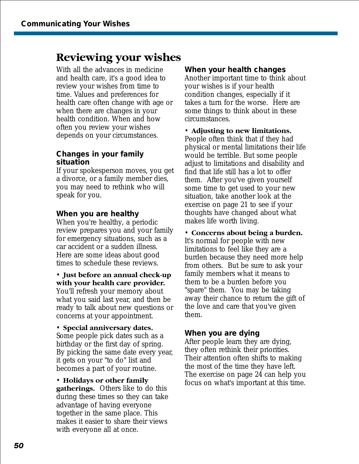### <span id="page-50-0"></span>**Reviewing your wishes**

With all the advances in medicine and health care, it's a good idea to review your wishes from time to time. Values and preferences for health care often change with age or when there are changes in your health condition. When and how often you review your wishes depends on your circumstances.

#### **Changes in your family situation**

If your spokesperson moves, you get a divorce, or a family member dies, you may need to rethink who will speak for you.

#### **When you are healthy**

When you're healthy, a periodic review prepares you and your family for emergency situations, such as a car accident or a sudden illness. Here are some ideas about good times to schedule these reviews.

• **Just before an annual check-up with your health care provider.** You'll refresh your memory about what you said last year, and then be ready to talk about new questions or concerns at your appointment.

• **Special anniversary dates.**

Some people pick dates such as a birthday or the first day of spring. By picking the same date every year, it gets on your "to do" list and becomes a part of your routine.

• **Holidays or other family gatherings.** Others like to do this during these times so they can take advantage of having everyone together in the same place. This makes it easier to share their views with everyone all at once.

#### **When your health changes**

Another important time to think about your wishes is if your health condition changes, especially if it takes a turn for the worse. Here are some things to think about in these circumstances.

• **Adjusting to new limitations.**

People often think that if they had physical or mental limitations their life would be terrible. But some people adjust to limitations and disability and find that life still has a lot to offer them. After you've given yourself some time to get used to your new situation, take another look at the exercise on page 21 to see if your thoughts have changed about what makes life worth living.

#### • **Concerns about being a burden.**

It's normal for people with new limitations to feel like they are a burden because they need more help from others. But be sure to ask your family members what it means to them to be a burden before you "spare" them. You may be taking away their chance to return the gift of the love and care that you've given them.

#### **When you are dying**

After people learn they are dying, they often rethink their priorities. Their attention often shifts to making the most of the time they have left. The exercise on page 24 can help you focus on what's important at this time.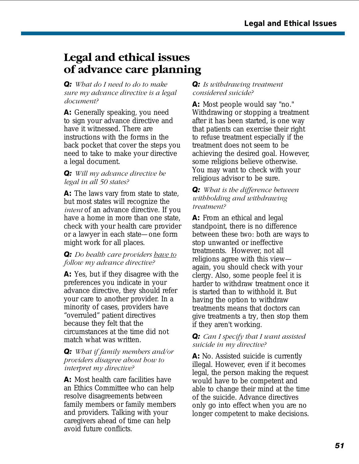### <span id="page-51-0"></span>**Legal and ethical issues of advance care planning**

*Q: What do I need to do to make sure my advance directive is a legal document?*

**A:** Generally speaking, you need to sign your advance directive and have it witnessed. There are instructions with the forms in the back pocket that cover the steps you need to take to make your directive a legal document.

#### *Q: Will my advance directive be legal in all 50 states?*

A: The laws vary from state to state, but most states will recognize the *intent* of an advance directive. If you have a home in more than one state, check with your health care provider or a lawyer in each state—one form might work for all places.

#### *Q: Do health care providers have to follow my advance directive?*

**A:** Yes, but if they disagree with the preferences you indicate in your advance directive, they should refer your care to another provider. In a minority of cases, providers have "overruled" patient directives because they felt that the circumstances at the time did not match what was written.

#### *Q: What if family members and/or providers disagree about how to interpret my directive?*

**A:** Most health care facilities have an Ethics Committee who can help resolve disagreements between family members or family members and providers. Talking with your caregivers ahead of time can help avoid future conflicts.

#### *Q: Is withdrawing treatment considered suicide?*

**A:** Most people would say "no." Withdrawing or stopping a treatment after it has been started, is one way that patients can exercise their right to refuse treatment especially if the treatment does not seem to be achieving the desired goal. However, some religions believe otherwise. You may want to check with your religious advisor to be sure.

#### *Q: What is the difference between withholding and withdrawing treatment?*

**A:** From an ethical and legal standpoint, there is no difference between these two: both are ways to stop unwanted or ineffective treatments. However, not all religions agree with this view again, you should check with your clergy. Also, some people feel it is harder to withdraw treatment once it is started than to withhold it. But having the option to withdraw treatments means that doctors can give treatments a try, then stop them if they aren't working.

#### *Q: Can I specify that I want assisted suicide in my directive?*

**A:** No. Assisted suicide is currently illegal. However, even if it becomes legal, the person making the request would have to be competent and able to change their mind at the time of the suicide. Advance directives only go into effect when you are no longer competent to make decisions.